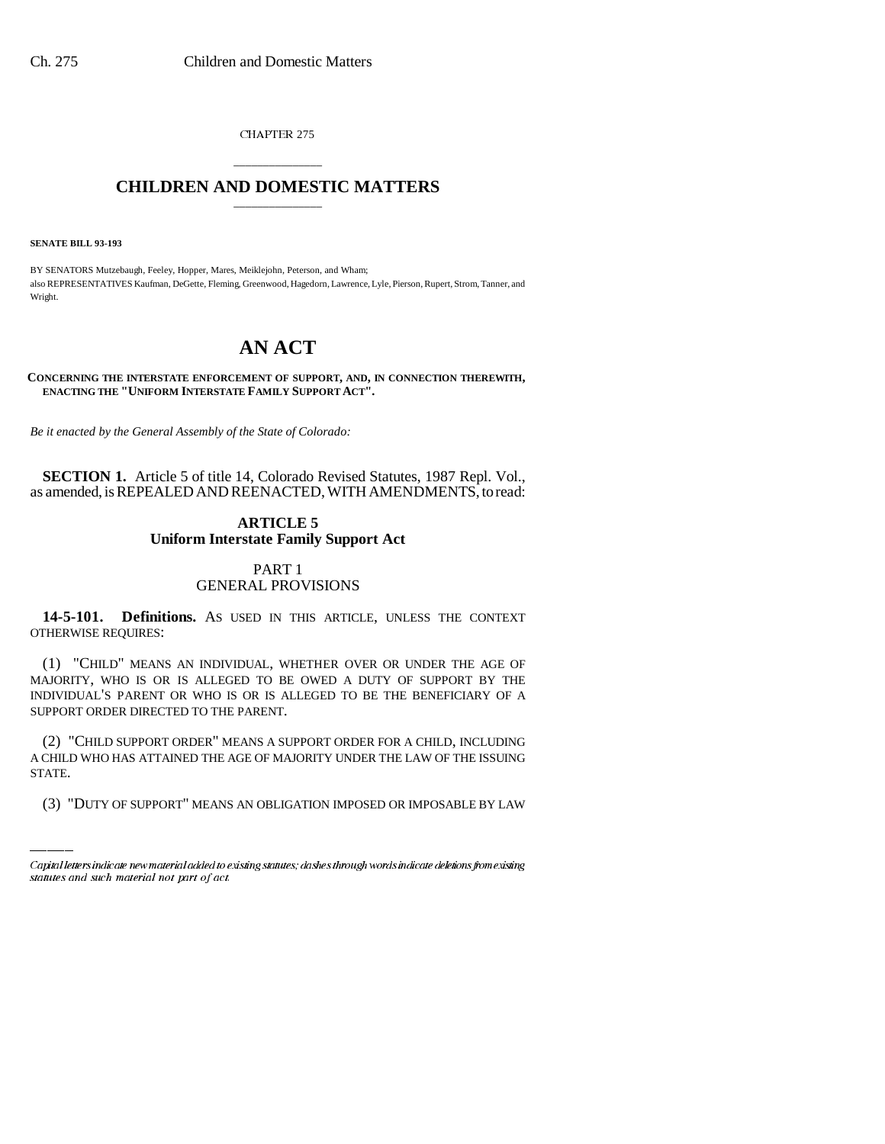CHAPTER 275

# \_\_\_\_\_\_\_\_\_\_\_\_\_\_\_ **CHILDREN AND DOMESTIC MATTERS** \_\_\_\_\_\_\_\_\_\_\_\_\_\_\_

**SENATE BILL 93-193**

BY SENATORS Mutzebaugh, Feeley, Hopper, Mares, Meiklejohn, Peterson, and Wham; also REPRESENTATIVES Kaufman, DeGette, Fleming, Greenwood, Hagedorn, Lawrence, Lyle, Pierson, Rupert, Strom, Tanner, and Wright.

# **AN ACT**

#### **CONCERNING THE INTERSTATE ENFORCEMENT OF SUPPORT, AND, IN CONNECTION THEREWITH, ENACTING THE "UNIFORM INTERSTATE FAMILY SUPPORT ACT".**

*Be it enacted by the General Assembly of the State of Colorado:*

**SECTION 1.** Article 5 of title 14, Colorado Revised Statutes, 1987 Repl. Vol., as amended, is REPEALED AND REENACTED, WITH AMENDMENTS, to read:

# **ARTICLE 5 Uniform Interstate Family Support Act**

# PART 1 GENERAL PROVISIONS

**14-5-101. Definitions.** AS USED IN THIS ARTICLE, UNLESS THE CONTEXT OTHERWISE REQUIRES:

(1) "CHILD" MEANS AN INDIVIDUAL, WHETHER OVER OR UNDER THE AGE OF MAJORITY, WHO IS OR IS ALLEGED TO BE OWED A DUTY OF SUPPORT BY THE INDIVIDUAL'S PARENT OR WHO IS OR IS ALLEGED TO BE THE BENEFICIARY OF A SUPPORT ORDER DIRECTED TO THE PARENT.

(2) "CHILD SUPPORT ORDER" MEANS A SUPPORT ORDER FOR A CHILD, INCLUDING A CHILD WHO HAS ATTAINED THE AGE OF MAJORITY UNDER THE LAW OF THE ISSUING STATE.

(3) "DUTY OF SUPPORT" MEANS AN OBLIGATION IMPOSED OR IMPOSABLE BY LAW

Capital letters indicate new material added to existing statutes; dashes through words indicate deletions from existing statutes and such material not part of act.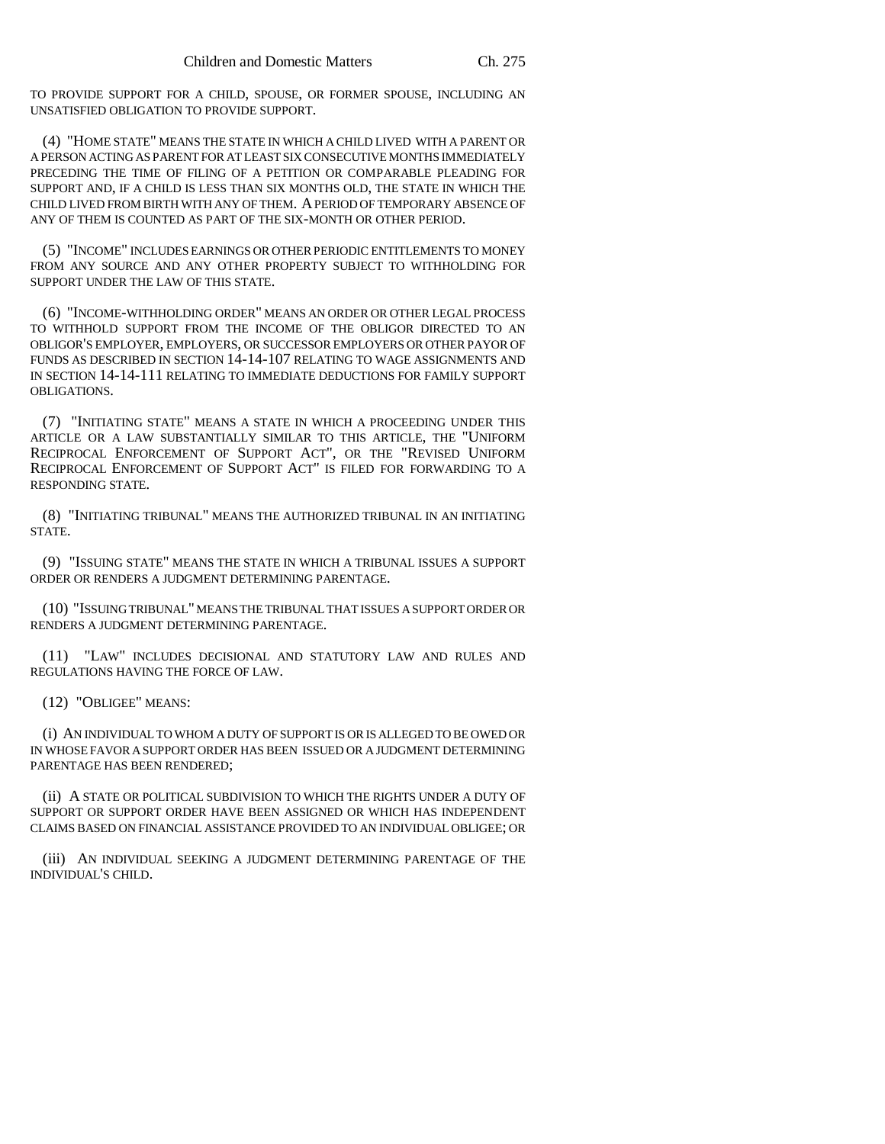TO PROVIDE SUPPORT FOR A CHILD, SPOUSE, OR FORMER SPOUSE, INCLUDING AN UNSATISFIED OBLIGATION TO PROVIDE SUPPORT.

(4) "HOME STATE" MEANS THE STATE IN WHICH A CHILD LIVED WITH A PARENT OR A PERSON ACTING AS PARENT FOR AT LEAST SIX CONSECUTIVE MONTHS IMMEDIATELY PRECEDING THE TIME OF FILING OF A PETITION OR COMPARABLE PLEADING FOR SUPPORT AND, IF A CHILD IS LESS THAN SIX MONTHS OLD, THE STATE IN WHICH THE CHILD LIVED FROM BIRTH WITH ANY OF THEM. A PERIOD OF TEMPORARY ABSENCE OF ANY OF THEM IS COUNTED AS PART OF THE SIX-MONTH OR OTHER PERIOD.

(5) "INCOME" INCLUDES EARNINGS OR OTHER PERIODIC ENTITLEMENTS TO MONEY FROM ANY SOURCE AND ANY OTHER PROPERTY SUBJECT TO WITHHOLDING FOR SUPPORT UNDER THE LAW OF THIS STATE.

(6) "INCOME-WITHHOLDING ORDER" MEANS AN ORDER OR OTHER LEGAL PROCESS TO WITHHOLD SUPPORT FROM THE INCOME OF THE OBLIGOR DIRECTED TO AN OBLIGOR'S EMPLOYER, EMPLOYERS, OR SUCCESSOR EMPLOYERS OR OTHER PAYOR OF FUNDS AS DESCRIBED IN SECTION 14-14-107 RELATING TO WAGE ASSIGNMENTS AND IN SECTION 14-14-111 RELATING TO IMMEDIATE DEDUCTIONS FOR FAMILY SUPPORT OBLIGATIONS.

(7) "INITIATING STATE" MEANS A STATE IN WHICH A PROCEEDING UNDER THIS ARTICLE OR A LAW SUBSTANTIALLY SIMILAR TO THIS ARTICLE, THE "UNIFORM RECIPROCAL ENFORCEMENT OF SUPPORT ACT", OR THE "REVISED UNIFORM RECIPROCAL ENFORCEMENT OF SUPPORT ACT" IS FILED FOR FORWARDING TO A RESPONDING STATE.

(8) "INITIATING TRIBUNAL" MEANS THE AUTHORIZED TRIBUNAL IN AN INITIATING STATE.

(9) "ISSUING STATE" MEANS THE STATE IN WHICH A TRIBUNAL ISSUES A SUPPORT ORDER OR RENDERS A JUDGMENT DETERMINING PARENTAGE.

(10) "ISSUING TRIBUNAL" MEANS THE TRIBUNAL THAT ISSUES A SUPPORT ORDER OR RENDERS A JUDGMENT DETERMINING PARENTAGE.

(11) "LAW" INCLUDES DECISIONAL AND STATUTORY LAW AND RULES AND REGULATIONS HAVING THE FORCE OF LAW.

(12) "OBLIGEE" MEANS:

(i) AN INDIVIDUAL TO WHOM A DUTY OF SUPPORT IS OR IS ALLEGED TO BE OWED OR IN WHOSE FAVOR A SUPPORT ORDER HAS BEEN ISSUED OR A JUDGMENT DETERMINING PARENTAGE HAS BEEN RENDERED;

(ii) A STATE OR POLITICAL SUBDIVISION TO WHICH THE RIGHTS UNDER A DUTY OF SUPPORT OR SUPPORT ORDER HAVE BEEN ASSIGNED OR WHICH HAS INDEPENDENT CLAIMS BASED ON FINANCIAL ASSISTANCE PROVIDED TO AN INDIVIDUAL OBLIGEE; OR

(iii) AN INDIVIDUAL SEEKING A JUDGMENT DETERMINING PARENTAGE OF THE INDIVIDUAL'S CHILD.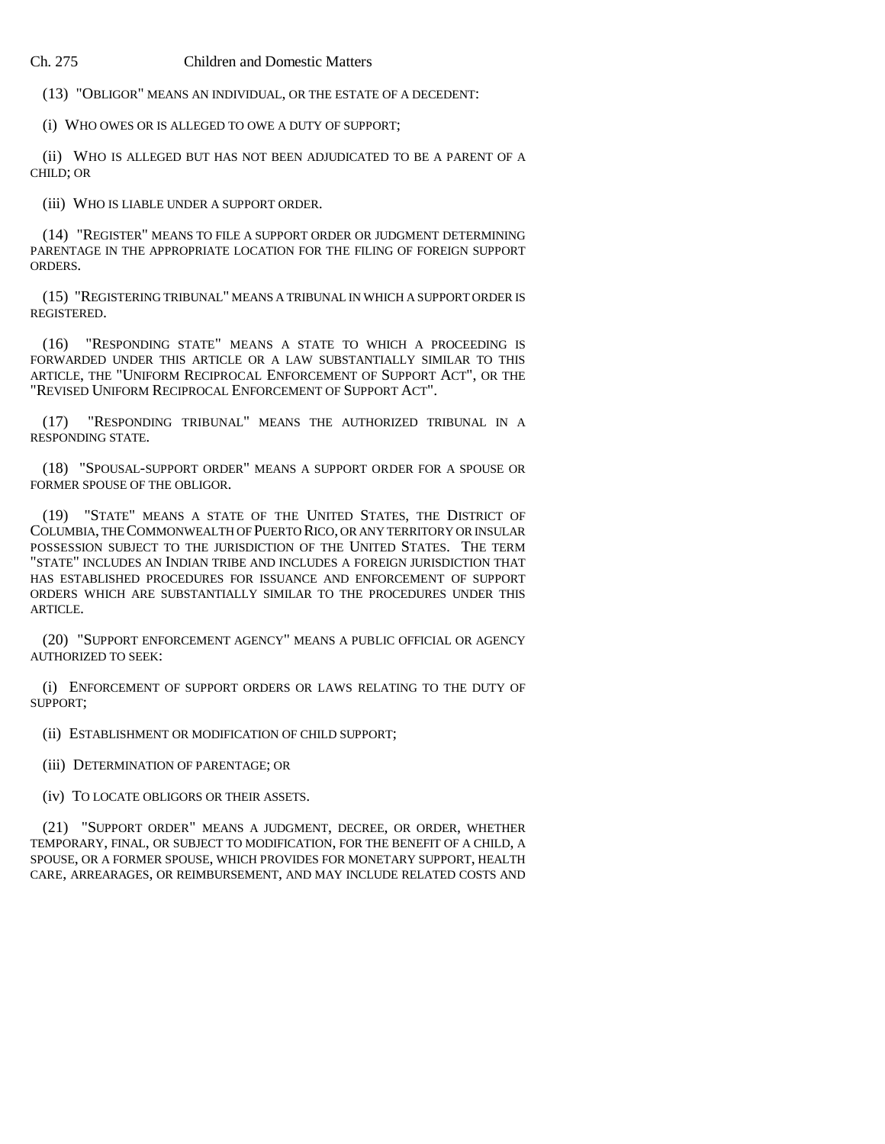(13) "OBLIGOR" MEANS AN INDIVIDUAL, OR THE ESTATE OF A DECEDENT:

(i) WHO OWES OR IS ALLEGED TO OWE A DUTY OF SUPPORT;

(ii) WHO IS ALLEGED BUT HAS NOT BEEN ADJUDICATED TO BE A PARENT OF A CHILD; OR

(iii) WHO IS LIABLE UNDER A SUPPORT ORDER.

(14) "REGISTER" MEANS TO FILE A SUPPORT ORDER OR JUDGMENT DETERMINING PARENTAGE IN THE APPROPRIATE LOCATION FOR THE FILING OF FOREIGN SUPPORT ORDERS.

(15) "REGISTERING TRIBUNAL" MEANS A TRIBUNAL IN WHICH A SUPPORT ORDER IS REGISTERED.

(16) "RESPONDING STATE" MEANS A STATE TO WHICH A PROCEEDING IS FORWARDED UNDER THIS ARTICLE OR A LAW SUBSTANTIALLY SIMILAR TO THIS ARTICLE, THE "UNIFORM RECIPROCAL ENFORCEMENT OF SUPPORT ACT", OR THE "REVISED UNIFORM RECIPROCAL ENFORCEMENT OF SUPPORT ACT".

(17) "RESPONDING TRIBUNAL" MEANS THE AUTHORIZED TRIBUNAL IN A RESPONDING STATE.

(18) "SPOUSAL-SUPPORT ORDER" MEANS A SUPPORT ORDER FOR A SPOUSE OR FORMER SPOUSE OF THE OBLIGOR.

(19) "STATE" MEANS A STATE OF THE UNITED STATES, THE DISTRICT OF COLUMBIA, THE COMMONWEALTH OF PUERTO RICO, OR ANY TERRITORY OR INSULAR POSSESSION SUBJECT TO THE JURISDICTION OF THE UNITED STATES. THE TERM "STATE" INCLUDES AN INDIAN TRIBE AND INCLUDES A FOREIGN JURISDICTION THAT HAS ESTABLISHED PROCEDURES FOR ISSUANCE AND ENFORCEMENT OF SUPPORT ORDERS WHICH ARE SUBSTANTIALLY SIMILAR TO THE PROCEDURES UNDER THIS ARTICLE.

(20) "SUPPORT ENFORCEMENT AGENCY" MEANS A PUBLIC OFFICIAL OR AGENCY AUTHORIZED TO SEEK:

(i) ENFORCEMENT OF SUPPORT ORDERS OR LAWS RELATING TO THE DUTY OF SUPPORT;

(ii) ESTABLISHMENT OR MODIFICATION OF CHILD SUPPORT;

(iii) DETERMINATION OF PARENTAGE; OR

(iv) TO LOCATE OBLIGORS OR THEIR ASSETS.

(21) "SUPPORT ORDER" MEANS A JUDGMENT, DECREE, OR ORDER, WHETHER TEMPORARY, FINAL, OR SUBJECT TO MODIFICATION, FOR THE BENEFIT OF A CHILD, A SPOUSE, OR A FORMER SPOUSE, WHICH PROVIDES FOR MONETARY SUPPORT, HEALTH CARE, ARREARAGES, OR REIMBURSEMENT, AND MAY INCLUDE RELATED COSTS AND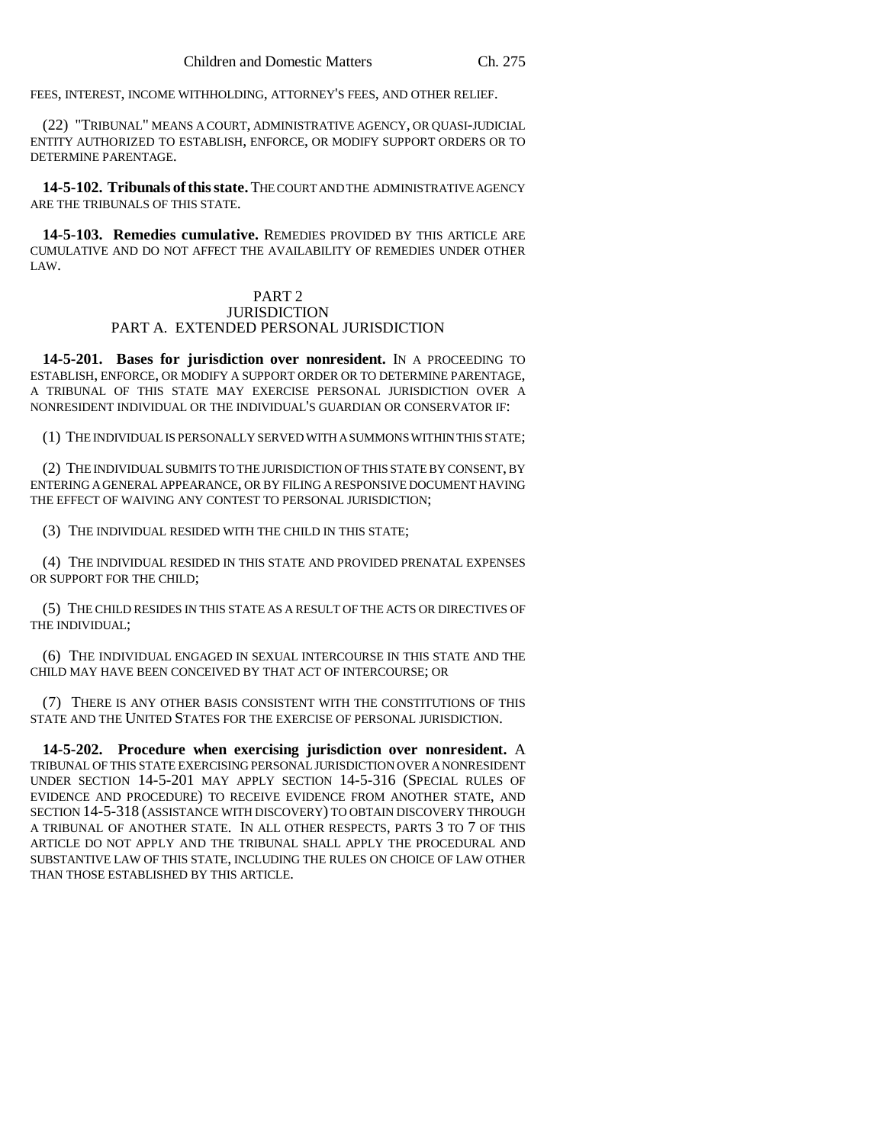FEES, INTEREST, INCOME WITHHOLDING, ATTORNEY'S FEES, AND OTHER RELIEF.

(22) "TRIBUNAL" MEANS A COURT, ADMINISTRATIVE AGENCY, OR QUASI-JUDICIAL ENTITY AUTHORIZED TO ESTABLISH, ENFORCE, OR MODIFY SUPPORT ORDERS OR TO DETERMINE PARENTAGE.

**14-5-102. Tribunals of this state.** THE COURT AND THE ADMINISTRATIVE AGENCY ARE THE TRIBUNALS OF THIS STATE.

**14-5-103. Remedies cumulative.** REMEDIES PROVIDED BY THIS ARTICLE ARE CUMULATIVE AND DO NOT AFFECT THE AVAILABILITY OF REMEDIES UNDER OTHER LAW.

### PART 2 **JURISDICTION** PART A. EXTENDED PERSONAL JURISDICTION

**14-5-201. Bases for jurisdiction over nonresident.** IN A PROCEEDING TO ESTABLISH, ENFORCE, OR MODIFY A SUPPORT ORDER OR TO DETERMINE PARENTAGE, A TRIBUNAL OF THIS STATE MAY EXERCISE PERSONAL JURISDICTION OVER A NONRESIDENT INDIVIDUAL OR THE INDIVIDUAL'S GUARDIAN OR CONSERVATOR IF:

(1) THE INDIVIDUAL IS PERSONALLY SERVED WITH A SUMMONS WITHIN THIS STATE;

(2) THE INDIVIDUAL SUBMITS TO THE JURISDICTION OF THIS STATE BY CONSENT, BY ENTERING A GENERAL APPEARANCE, OR BY FILING A RESPONSIVE DOCUMENT HAVING THE EFFECT OF WAIVING ANY CONTEST TO PERSONAL JURISDICTION;

(3) THE INDIVIDUAL RESIDED WITH THE CHILD IN THIS STATE;

(4) THE INDIVIDUAL RESIDED IN THIS STATE AND PROVIDED PRENATAL EXPENSES OR SUPPORT FOR THE CHILD;

(5) THE CHILD RESIDES IN THIS STATE AS A RESULT OF THE ACTS OR DIRECTIVES OF THE INDIVIDUAL;

(6) THE INDIVIDUAL ENGAGED IN SEXUAL INTERCOURSE IN THIS STATE AND THE CHILD MAY HAVE BEEN CONCEIVED BY THAT ACT OF INTERCOURSE; OR

(7) THERE IS ANY OTHER BASIS CONSISTENT WITH THE CONSTITUTIONS OF THIS STATE AND THE UNITED STATES FOR THE EXERCISE OF PERSONAL JURISDICTION.

**14-5-202. Procedure when exercising jurisdiction over nonresident.** A TRIBUNAL OF THIS STATE EXERCISING PERSONAL JURISDICTION OVER A NONRESIDENT UNDER SECTION 14-5-201 MAY APPLY SECTION 14-5-316 (SPECIAL RULES OF EVIDENCE AND PROCEDURE) TO RECEIVE EVIDENCE FROM ANOTHER STATE, AND SECTION 14-5-318 (ASSISTANCE WITH DISCOVERY) TO OBTAIN DISCOVERY THROUGH A TRIBUNAL OF ANOTHER STATE. IN ALL OTHER RESPECTS, PARTS 3 TO 7 OF THIS ARTICLE DO NOT APPLY AND THE TRIBUNAL SHALL APPLY THE PROCEDURAL AND SUBSTANTIVE LAW OF THIS STATE, INCLUDING THE RULES ON CHOICE OF LAW OTHER THAN THOSE ESTABLISHED BY THIS ARTICLE.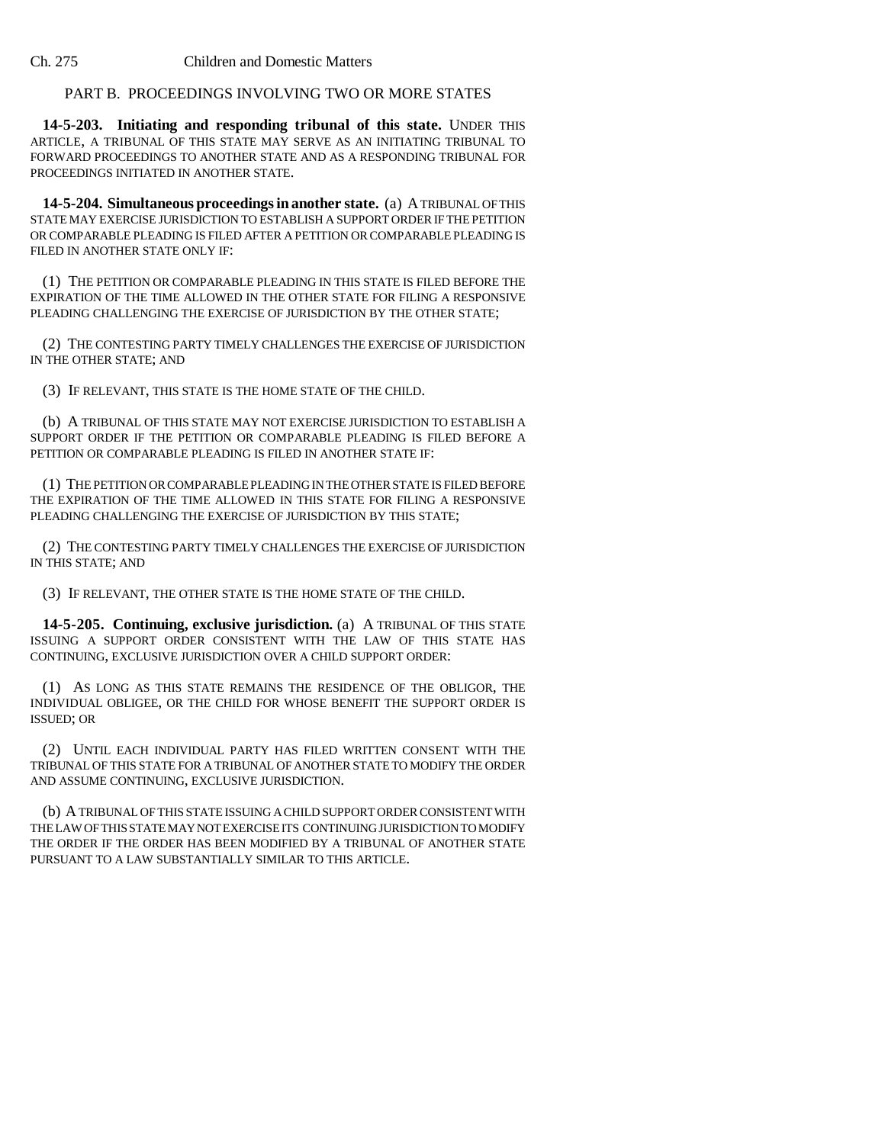# PART B. PROCEEDINGS INVOLVING TWO OR MORE STATES

**14-5-203. Initiating and responding tribunal of this state.** UNDER THIS ARTICLE, A TRIBUNAL OF THIS STATE MAY SERVE AS AN INITIATING TRIBUNAL TO FORWARD PROCEEDINGS TO ANOTHER STATE AND AS A RESPONDING TRIBUNAL FOR PROCEEDINGS INITIATED IN ANOTHER STATE.

**14-5-204. Simultaneous proceedings in another state.** (a) A TRIBUNAL OF THIS STATE MAY EXERCISE JURISDICTION TO ESTABLISH A SUPPORT ORDER IF THE PETITION OR COMPARABLE PLEADING IS FILED AFTER A PETITION OR COMPARABLE PLEADING IS FILED IN ANOTHER STATE ONLY IF:

(1) THE PETITION OR COMPARABLE PLEADING IN THIS STATE IS FILED BEFORE THE EXPIRATION OF THE TIME ALLOWED IN THE OTHER STATE FOR FILING A RESPONSIVE PLEADING CHALLENGING THE EXERCISE OF JURISDICTION BY THE OTHER STATE;

(2) THE CONTESTING PARTY TIMELY CHALLENGES THE EXERCISE OF JURISDICTION IN THE OTHER STATE; AND

(3) IF RELEVANT, THIS STATE IS THE HOME STATE OF THE CHILD.

(b) A TRIBUNAL OF THIS STATE MAY NOT EXERCISE JURISDICTION TO ESTABLISH A SUPPORT ORDER IF THE PETITION OR COMPARABLE PLEADING IS FILED BEFORE A PETITION OR COMPARABLE PLEADING IS FILED IN ANOTHER STATE IF:

(1) THE PETITION OR COMPARABLE PLEADING IN THE OTHER STATE IS FILED BEFORE THE EXPIRATION OF THE TIME ALLOWED IN THIS STATE FOR FILING A RESPONSIVE PLEADING CHALLENGING THE EXERCISE OF JURISDICTION BY THIS STATE;

(2) THE CONTESTING PARTY TIMELY CHALLENGES THE EXERCISE OF JURISDICTION IN THIS STATE; AND

(3) IF RELEVANT, THE OTHER STATE IS THE HOME STATE OF THE CHILD.

**14-5-205. Continuing, exclusive jurisdiction.** (a) A TRIBUNAL OF THIS STATE ISSUING A SUPPORT ORDER CONSISTENT WITH THE LAW OF THIS STATE HAS CONTINUING, EXCLUSIVE JURISDICTION OVER A CHILD SUPPORT ORDER:

(1) AS LONG AS THIS STATE REMAINS THE RESIDENCE OF THE OBLIGOR, THE INDIVIDUAL OBLIGEE, OR THE CHILD FOR WHOSE BENEFIT THE SUPPORT ORDER IS ISSUED; OR

(2) UNTIL EACH INDIVIDUAL PARTY HAS FILED WRITTEN CONSENT WITH THE TRIBUNAL OF THIS STATE FOR A TRIBUNAL OF ANOTHER STATE TO MODIFY THE ORDER AND ASSUME CONTINUING, EXCLUSIVE JURISDICTION.

(b) A TRIBUNAL OF THIS STATE ISSUING A CHILD SUPPORT ORDER CONSISTENT WITH THE LAW OF THIS STATE MAY NOT EXERCISE ITS CONTINUING JURISDICTION TO MODIFY THE ORDER IF THE ORDER HAS BEEN MODIFIED BY A TRIBUNAL OF ANOTHER STATE PURSUANT TO A LAW SUBSTANTIALLY SIMILAR TO THIS ARTICLE.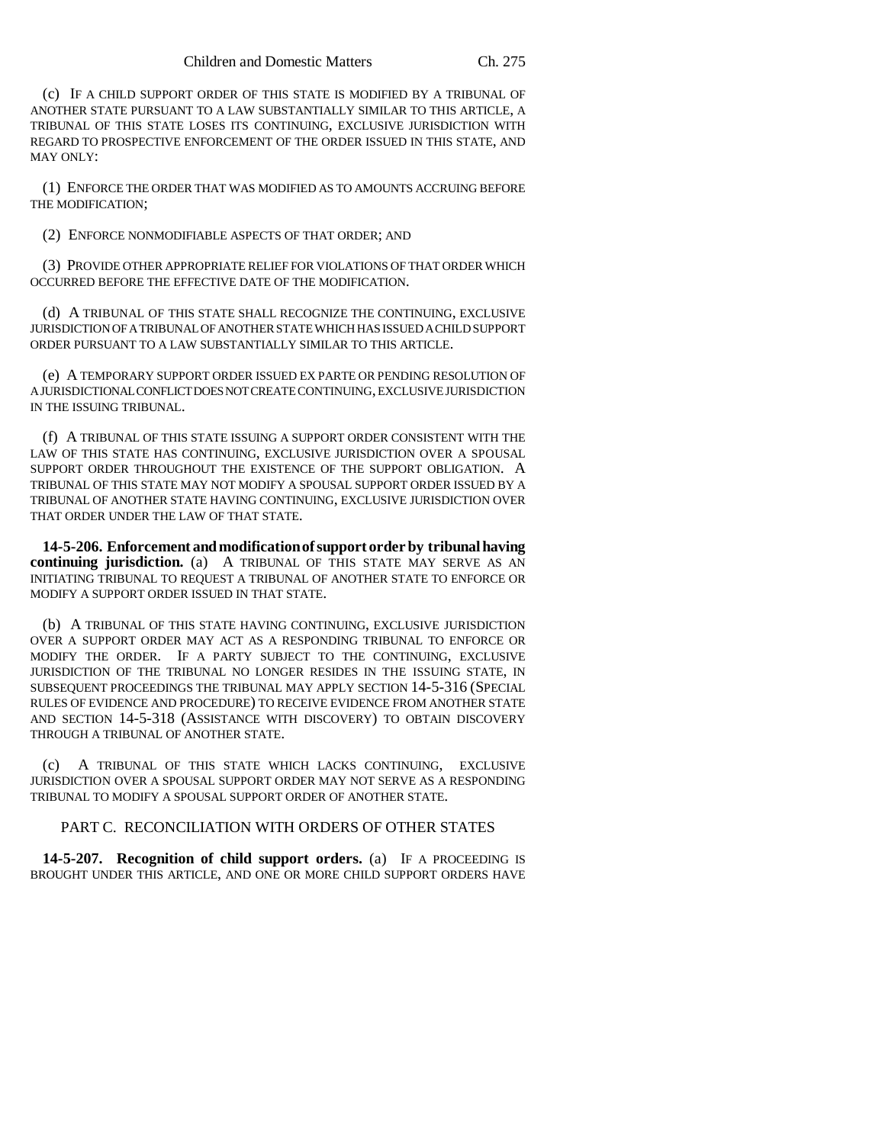(c) IF A CHILD SUPPORT ORDER OF THIS STATE IS MODIFIED BY A TRIBUNAL OF ANOTHER STATE PURSUANT TO A LAW SUBSTANTIALLY SIMILAR TO THIS ARTICLE, A TRIBUNAL OF THIS STATE LOSES ITS CONTINUING, EXCLUSIVE JURISDICTION WITH REGARD TO PROSPECTIVE ENFORCEMENT OF THE ORDER ISSUED IN THIS STATE, AND MAY ONLY:

(1) ENFORCE THE ORDER THAT WAS MODIFIED AS TO AMOUNTS ACCRUING BEFORE THE MODIFICATION;

(2) ENFORCE NONMODIFIABLE ASPECTS OF THAT ORDER; AND

(3) PROVIDE OTHER APPROPRIATE RELIEF FOR VIOLATIONS OF THAT ORDER WHICH OCCURRED BEFORE THE EFFECTIVE DATE OF THE MODIFICATION.

(d) A TRIBUNAL OF THIS STATE SHALL RECOGNIZE THE CONTINUING, EXCLUSIVE JURISDICTION OF A TRIBUNAL OF ANOTHER STATE WHICH HAS ISSUED A CHILD SUPPORT ORDER PURSUANT TO A LAW SUBSTANTIALLY SIMILAR TO THIS ARTICLE.

(e) A TEMPORARY SUPPORT ORDER ISSUED EX PARTE OR PENDING RESOLUTION OF A JURISDICTIONAL CONFLICT DOES NOT CREATE CONTINUING, EXCLUSIVE JURISDICTION IN THE ISSUING TRIBUNAL.

(f) A TRIBUNAL OF THIS STATE ISSUING A SUPPORT ORDER CONSISTENT WITH THE LAW OF THIS STATE HAS CONTINUING, EXCLUSIVE JURISDICTION OVER A SPOUSAL SUPPORT ORDER THROUGHOUT THE EXISTENCE OF THE SUPPORT OBLIGATION. A TRIBUNAL OF THIS STATE MAY NOT MODIFY A SPOUSAL SUPPORT ORDER ISSUED BY A TRIBUNAL OF ANOTHER STATE HAVING CONTINUING, EXCLUSIVE JURISDICTION OVER THAT ORDER UNDER THE LAW OF THAT STATE.

**14-5-206. Enforcement and modification of support order by tribunal having continuing jurisdiction.** (a) A TRIBUNAL OF THIS STATE MAY SERVE AS AN INITIATING TRIBUNAL TO REQUEST A TRIBUNAL OF ANOTHER STATE TO ENFORCE OR MODIFY A SUPPORT ORDER ISSUED IN THAT STATE.

(b) A TRIBUNAL OF THIS STATE HAVING CONTINUING, EXCLUSIVE JURISDICTION OVER A SUPPORT ORDER MAY ACT AS A RESPONDING TRIBUNAL TO ENFORCE OR MODIFY THE ORDER. IF A PARTY SUBJECT TO THE CONTINUING, EXCLUSIVE JURISDICTION OF THE TRIBUNAL NO LONGER RESIDES IN THE ISSUING STATE, IN SUBSEQUENT PROCEEDINGS THE TRIBUNAL MAY APPLY SECTION 14-5-316 (SPECIAL RULES OF EVIDENCE AND PROCEDURE) TO RECEIVE EVIDENCE FROM ANOTHER STATE AND SECTION 14-5-318 (ASSISTANCE WITH DISCOVERY) TO OBTAIN DISCOVERY THROUGH A TRIBUNAL OF ANOTHER STATE.

(c) A TRIBUNAL OF THIS STATE WHICH LACKS CONTINUING, EXCLUSIVE JURISDICTION OVER A SPOUSAL SUPPORT ORDER MAY NOT SERVE AS A RESPONDING TRIBUNAL TO MODIFY A SPOUSAL SUPPORT ORDER OF ANOTHER STATE.

# PART C. RECONCILIATION WITH ORDERS OF OTHER STATES

**14-5-207. Recognition of child support orders.** (a) IF A PROCEEDING IS BROUGHT UNDER THIS ARTICLE, AND ONE OR MORE CHILD SUPPORT ORDERS HAVE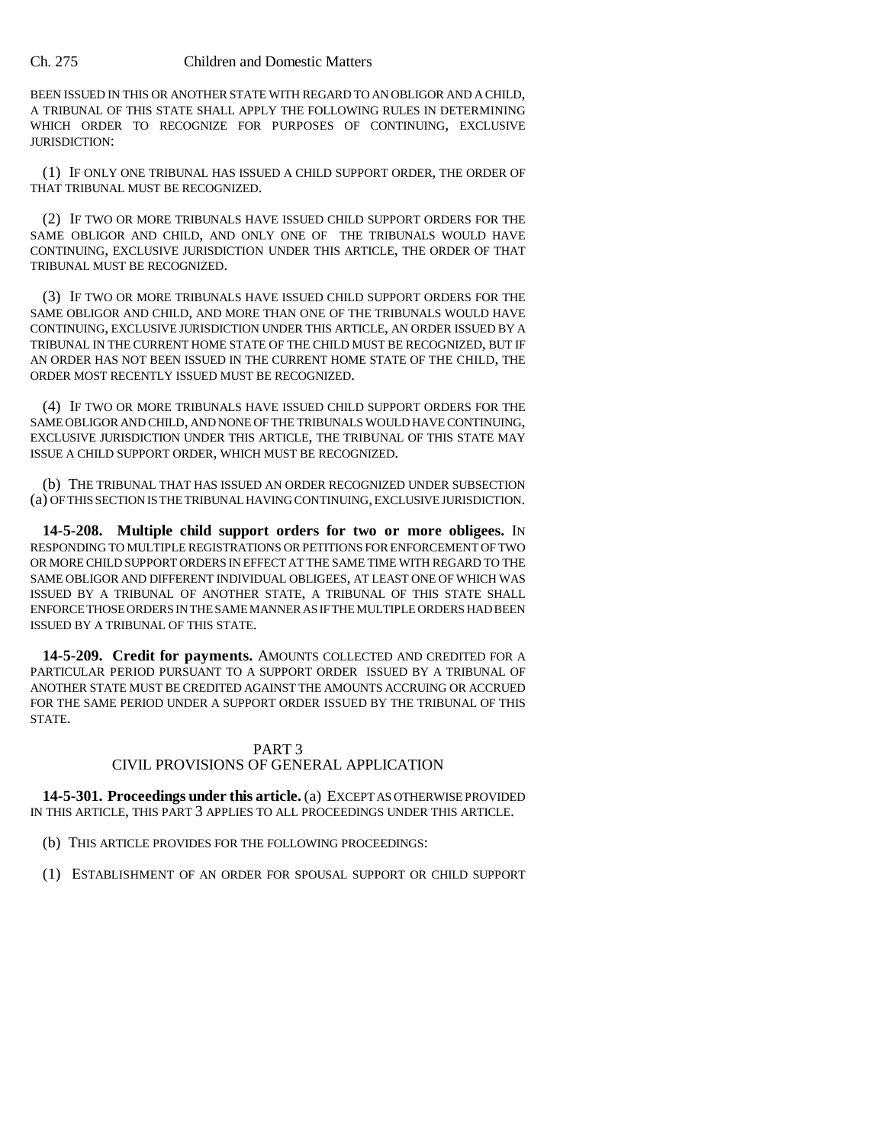BEEN ISSUED IN THIS OR ANOTHER STATE WITH REGARD TO AN OBLIGOR AND A CHILD, A TRIBUNAL OF THIS STATE SHALL APPLY THE FOLLOWING RULES IN DETERMINING WHICH ORDER TO RECOGNIZE FOR PURPOSES OF CONTINUING, EXCLUSIVE JURISDICTION:

(1) IF ONLY ONE TRIBUNAL HAS ISSUED A CHILD SUPPORT ORDER, THE ORDER OF THAT TRIBUNAL MUST BE RECOGNIZED.

(2) IF TWO OR MORE TRIBUNALS HAVE ISSUED CHILD SUPPORT ORDERS FOR THE SAME OBLIGOR AND CHILD, AND ONLY ONE OF THE TRIBUNALS WOULD HAVE CONTINUING, EXCLUSIVE JURISDICTION UNDER THIS ARTICLE, THE ORDER OF THAT TRIBUNAL MUST BE RECOGNIZED.

(3) IF TWO OR MORE TRIBUNALS HAVE ISSUED CHILD SUPPORT ORDERS FOR THE SAME OBLIGOR AND CHILD, AND MORE THAN ONE OF THE TRIBUNALS WOULD HAVE CONTINUING, EXCLUSIVE JURISDICTION UNDER THIS ARTICLE, AN ORDER ISSUED BY A TRIBUNAL IN THE CURRENT HOME STATE OF THE CHILD MUST BE RECOGNIZED, BUT IF AN ORDER HAS NOT BEEN ISSUED IN THE CURRENT HOME STATE OF THE CHILD, THE ORDER MOST RECENTLY ISSUED MUST BE RECOGNIZED.

(4) IF TWO OR MORE TRIBUNALS HAVE ISSUED CHILD SUPPORT ORDERS FOR THE SAME OBLIGOR AND CHILD, AND NONE OF THE TRIBUNALS WOULD HAVE CONTINUING, EXCLUSIVE JURISDICTION UNDER THIS ARTICLE, THE TRIBUNAL OF THIS STATE MAY ISSUE A CHILD SUPPORT ORDER, WHICH MUST BE RECOGNIZED.

(b) THE TRIBUNAL THAT HAS ISSUED AN ORDER RECOGNIZED UNDER SUBSECTION (a) OF THIS SECTION IS THE TRIBUNAL HAVING CONTINUING, EXCLUSIVE JURISDICTION.

**14-5-208. Multiple child support orders for two or more obligees.** IN RESPONDING TO MULTIPLE REGISTRATIONS OR PETITIONS FOR ENFORCEMENT OF TWO OR MORE CHILD SUPPORT ORDERS IN EFFECT AT THE SAME TIME WITH REGARD TO THE SAME OBLIGOR AND DIFFERENT INDIVIDUAL OBLIGEES, AT LEAST ONE OF WHICH WAS ISSUED BY A TRIBUNAL OF ANOTHER STATE, A TRIBUNAL OF THIS STATE SHALL ENFORCE THOSE ORDERS IN THE SAME MANNER AS IF THE MULTIPLE ORDERS HAD BEEN ISSUED BY A TRIBUNAL OF THIS STATE.

**14-5-209. Credit for payments.** AMOUNTS COLLECTED AND CREDITED FOR A PARTICULAR PERIOD PURSUANT TO A SUPPORT ORDER ISSUED BY A TRIBUNAL OF ANOTHER STATE MUST BE CREDITED AGAINST THE AMOUNTS ACCRUING OR ACCRUED FOR THE SAME PERIOD UNDER A SUPPORT ORDER ISSUED BY THE TRIBUNAL OF THIS STATE.

# PART 3

# CIVIL PROVISIONS OF GENERAL APPLICATION

**14-5-301. Proceedings under this article.** (a) EXCEPT AS OTHERWISE PROVIDED IN THIS ARTICLE, THIS PART 3 APPLIES TO ALL PROCEEDINGS UNDER THIS ARTICLE.

(b) THIS ARTICLE PROVIDES FOR THE FOLLOWING PROCEEDINGS:

(1) ESTABLISHMENT OF AN ORDER FOR SPOUSAL SUPPORT OR CHILD SUPPORT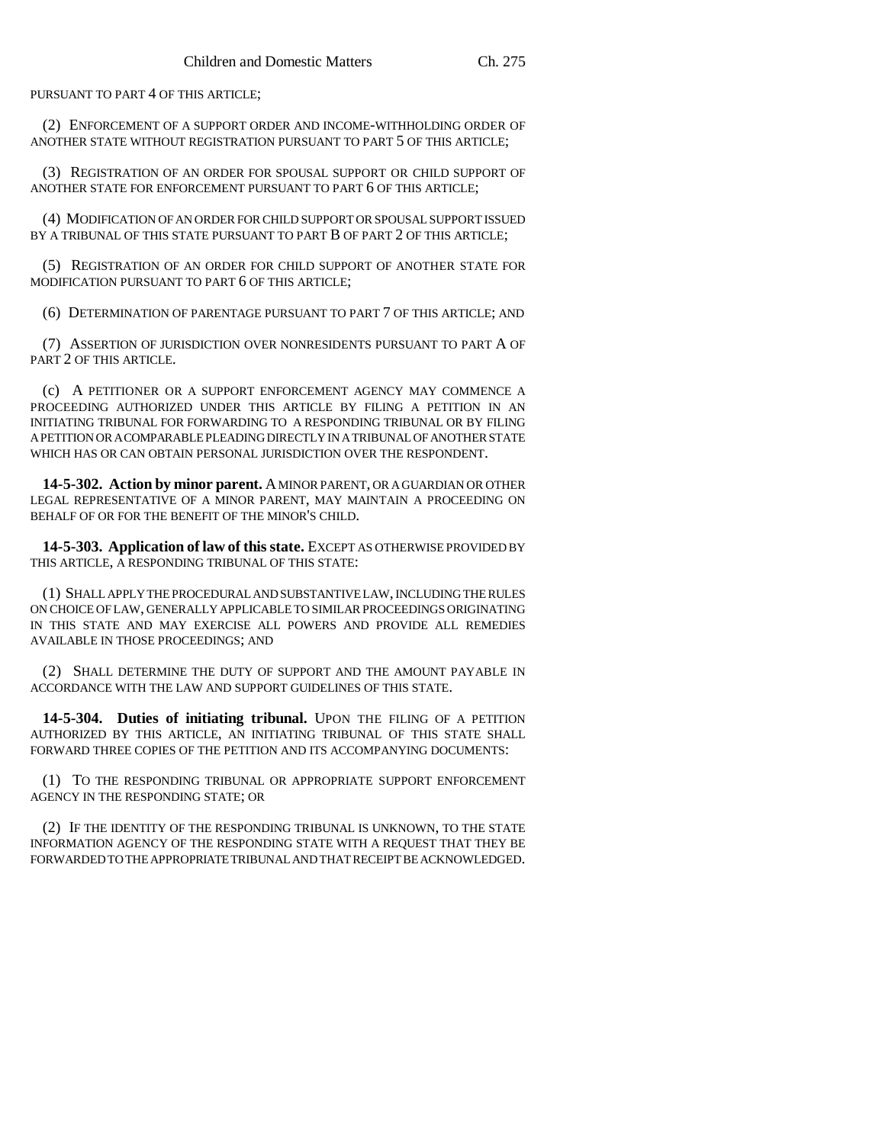PURSUANT TO PART 4 OF THIS ARTICLE;

(2) ENFORCEMENT OF A SUPPORT ORDER AND INCOME-WITHHOLDING ORDER OF ANOTHER STATE WITHOUT REGISTRATION PURSUANT TO PART 5 OF THIS ARTICLE;

(3) REGISTRATION OF AN ORDER FOR SPOUSAL SUPPORT OR CHILD SUPPORT OF ANOTHER STATE FOR ENFORCEMENT PURSUANT TO PART 6 OF THIS ARTICLE;

(4) MODIFICATION OF AN ORDER FOR CHILD SUPPORT OR SPOUSAL SUPPORT ISSUED BY A TRIBUNAL OF THIS STATE PURSUANT TO PART B OF PART 2 OF THIS ARTICLE;

(5) REGISTRATION OF AN ORDER FOR CHILD SUPPORT OF ANOTHER STATE FOR MODIFICATION PURSUANT TO PART 6 OF THIS ARTICLE;

(6) DETERMINATION OF PARENTAGE PURSUANT TO PART 7 OF THIS ARTICLE; AND

(7) ASSERTION OF JURISDICTION OVER NONRESIDENTS PURSUANT TO PART A OF PART 2 OF THIS ARTICLE.

(c) A PETITIONER OR A SUPPORT ENFORCEMENT AGENCY MAY COMMENCE A PROCEEDING AUTHORIZED UNDER THIS ARTICLE BY FILING A PETITION IN AN INITIATING TRIBUNAL FOR FORWARDING TO A RESPONDING TRIBUNAL OR BY FILING A PETITION OR A COMPARABLE PLEADING DIRECTLY IN A TRIBUNAL OF ANOTHER STATE WHICH HAS OR CAN OBTAIN PERSONAL JURISDICTION OVER THE RESPONDENT.

**14-5-302. Action by minor parent.** A MINOR PARENT, OR A GUARDIAN OR OTHER LEGAL REPRESENTATIVE OF A MINOR PARENT, MAY MAINTAIN A PROCEEDING ON BEHALF OF OR FOR THE BENEFIT OF THE MINOR'S CHILD.

**14-5-303. Application of law of this state.** EXCEPT AS OTHERWISE PROVIDED BY THIS ARTICLE, A RESPONDING TRIBUNAL OF THIS STATE:

(1) SHALL APPLY THE PROCEDURAL AND SUBSTANTIVE LAW, INCLUDING THE RULES ON CHOICE OF LAW, GENERALLY APPLICABLE TO SIMILAR PROCEEDINGS ORIGINATING IN THIS STATE AND MAY EXERCISE ALL POWERS AND PROVIDE ALL REMEDIES AVAILABLE IN THOSE PROCEEDINGS; AND

(2) SHALL DETERMINE THE DUTY OF SUPPORT AND THE AMOUNT PAYABLE IN ACCORDANCE WITH THE LAW AND SUPPORT GUIDELINES OF THIS STATE.

**14-5-304. Duties of initiating tribunal.** UPON THE FILING OF A PETITION AUTHORIZED BY THIS ARTICLE, AN INITIATING TRIBUNAL OF THIS STATE SHALL FORWARD THREE COPIES OF THE PETITION AND ITS ACCOMPANYING DOCUMENTS:

(1) TO THE RESPONDING TRIBUNAL OR APPROPRIATE SUPPORT ENFORCEMENT AGENCY IN THE RESPONDING STATE; OR

(2) IF THE IDENTITY OF THE RESPONDING TRIBUNAL IS UNKNOWN, TO THE STATE INFORMATION AGENCY OF THE RESPONDING STATE WITH A REQUEST THAT THEY BE FORWARDED TO THE APPROPRIATE TRIBUNAL AND THAT RECEIPT BE ACKNOWLEDGED.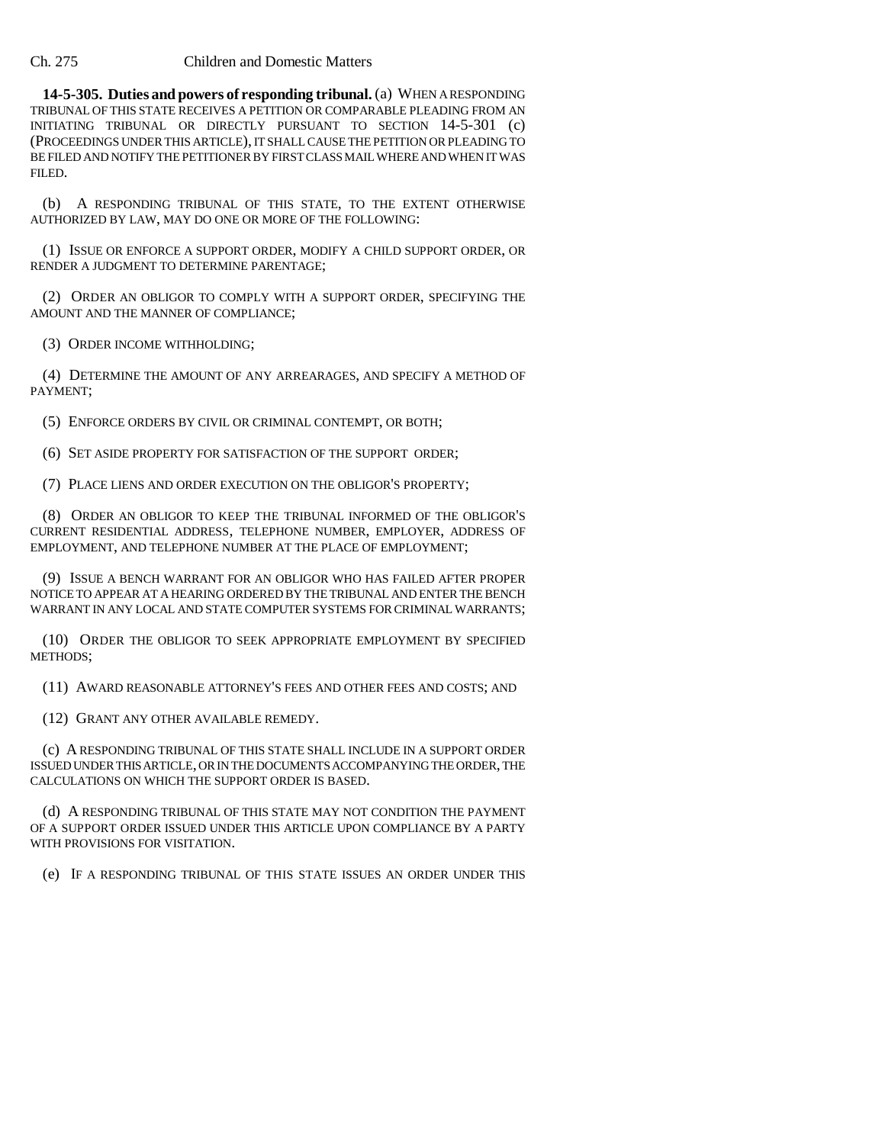**14-5-305. Duties and powers of responding tribunal.** (a) WHEN A RESPONDING TRIBUNAL OF THIS STATE RECEIVES A PETITION OR COMPARABLE PLEADING FROM AN INITIATING TRIBUNAL OR DIRECTLY PURSUANT TO SECTION 14-5-301 (c) (PROCEEDINGS UNDER THIS ARTICLE), IT SHALL CAUSE THE PETITION OR PLEADING TO BE FILED AND NOTIFY THE PETITIONER BY FIRST CLASS MAIL WHERE AND WHEN IT WAS FILED.

(b) A RESPONDING TRIBUNAL OF THIS STATE, TO THE EXTENT OTHERWISE AUTHORIZED BY LAW, MAY DO ONE OR MORE OF THE FOLLOWING:

(1) ISSUE OR ENFORCE A SUPPORT ORDER, MODIFY A CHILD SUPPORT ORDER, OR RENDER A JUDGMENT TO DETERMINE PARENTAGE;

(2) ORDER AN OBLIGOR TO COMPLY WITH A SUPPORT ORDER, SPECIFYING THE AMOUNT AND THE MANNER OF COMPLIANCE;

(3) ORDER INCOME WITHHOLDING;

(4) DETERMINE THE AMOUNT OF ANY ARREARAGES, AND SPECIFY A METHOD OF PAYMENT;

(5) ENFORCE ORDERS BY CIVIL OR CRIMINAL CONTEMPT, OR BOTH;

(6) SET ASIDE PROPERTY FOR SATISFACTION OF THE SUPPORT ORDER;

(7) PLACE LIENS AND ORDER EXECUTION ON THE OBLIGOR'S PROPERTY;

(8) ORDER AN OBLIGOR TO KEEP THE TRIBUNAL INFORMED OF THE OBLIGOR'S CURRENT RESIDENTIAL ADDRESS, TELEPHONE NUMBER, EMPLOYER, ADDRESS OF EMPLOYMENT, AND TELEPHONE NUMBER AT THE PLACE OF EMPLOYMENT;

(9) ISSUE A BENCH WARRANT FOR AN OBLIGOR WHO HAS FAILED AFTER PROPER NOTICE TO APPEAR AT A HEARING ORDERED BY THE TRIBUNAL AND ENTER THE BENCH WARRANT IN ANY LOCAL AND STATE COMPUTER SYSTEMS FOR CRIMINAL WARRANTS;

(10) ORDER THE OBLIGOR TO SEEK APPROPRIATE EMPLOYMENT BY SPECIFIED METHODS;

(11) AWARD REASONABLE ATTORNEY'S FEES AND OTHER FEES AND COSTS; AND

(12) GRANT ANY OTHER AVAILABLE REMEDY.

(c) A RESPONDING TRIBUNAL OF THIS STATE SHALL INCLUDE IN A SUPPORT ORDER ISSUED UNDER THIS ARTICLE, OR IN THE DOCUMENTS ACCOMPANYING THE ORDER, THE CALCULATIONS ON WHICH THE SUPPORT ORDER IS BASED.

(d) A RESPONDING TRIBUNAL OF THIS STATE MAY NOT CONDITION THE PAYMENT OF A SUPPORT ORDER ISSUED UNDER THIS ARTICLE UPON COMPLIANCE BY A PARTY WITH PROVISIONS FOR VISITATION.

(e) IF A RESPONDING TRIBUNAL OF THIS STATE ISSUES AN ORDER UNDER THIS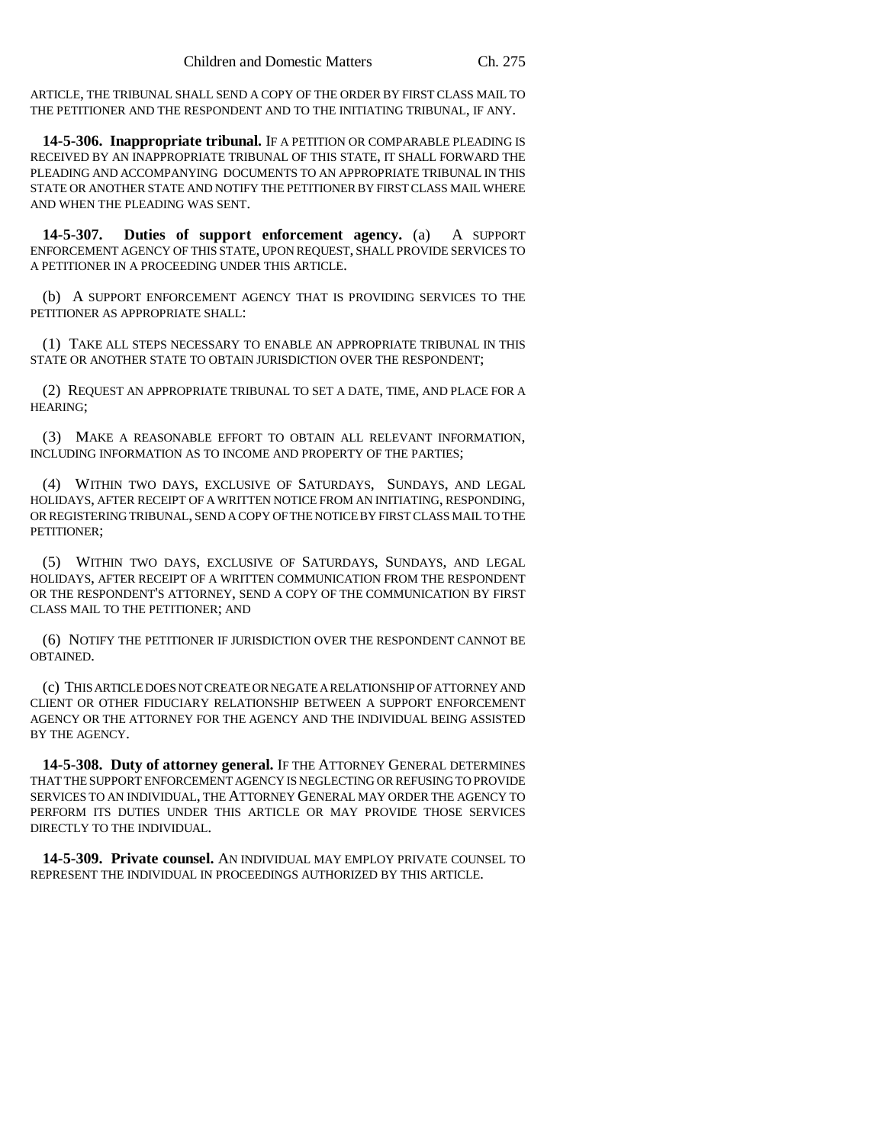ARTICLE, THE TRIBUNAL SHALL SEND A COPY OF THE ORDER BY FIRST CLASS MAIL TO THE PETITIONER AND THE RESPONDENT AND TO THE INITIATING TRIBUNAL, IF ANY.

**14-5-306. Inappropriate tribunal.** IF A PETITION OR COMPARABLE PLEADING IS RECEIVED BY AN INAPPROPRIATE TRIBUNAL OF THIS STATE, IT SHALL FORWARD THE PLEADING AND ACCOMPANYING DOCUMENTS TO AN APPROPRIATE TRIBUNAL IN THIS STATE OR ANOTHER STATE AND NOTIFY THE PETITIONER BY FIRST CLASS MAIL WHERE AND WHEN THE PLEADING WAS SENT.

**14-5-307. Duties of support enforcement agency.** (a) A SUPPORT ENFORCEMENT AGENCY OF THIS STATE, UPON REQUEST, SHALL PROVIDE SERVICES TO A PETITIONER IN A PROCEEDING UNDER THIS ARTICLE.

(b) A SUPPORT ENFORCEMENT AGENCY THAT IS PROVIDING SERVICES TO THE PETITIONER AS APPROPRIATE SHALL:

(1) TAKE ALL STEPS NECESSARY TO ENABLE AN APPROPRIATE TRIBUNAL IN THIS STATE OR ANOTHER STATE TO OBTAIN JURISDICTION OVER THE RESPONDENT;

(2) REQUEST AN APPROPRIATE TRIBUNAL TO SET A DATE, TIME, AND PLACE FOR A HEARING;

(3) MAKE A REASONABLE EFFORT TO OBTAIN ALL RELEVANT INFORMATION, INCLUDING INFORMATION AS TO INCOME AND PROPERTY OF THE PARTIES;

(4) WITHIN TWO DAYS, EXCLUSIVE OF SATURDAYS, SUNDAYS, AND LEGAL HOLIDAYS, AFTER RECEIPT OF A WRITTEN NOTICE FROM AN INITIATING, RESPONDING, OR REGISTERING TRIBUNAL, SEND A COPY OF THE NOTICE BY FIRST CLASS MAIL TO THE PETITIONER;

(5) WITHIN TWO DAYS, EXCLUSIVE OF SATURDAYS, SUNDAYS, AND LEGAL HOLIDAYS, AFTER RECEIPT OF A WRITTEN COMMUNICATION FROM THE RESPONDENT OR THE RESPONDENT'S ATTORNEY, SEND A COPY OF THE COMMUNICATION BY FIRST CLASS MAIL TO THE PETITIONER; AND

(6) NOTIFY THE PETITIONER IF JURISDICTION OVER THE RESPONDENT CANNOT BE OBTAINED.

(c) THIS ARTICLE DOES NOT CREATE OR NEGATE A RELATIONSHIP OF ATTORNEY AND CLIENT OR OTHER FIDUCIARY RELATIONSHIP BETWEEN A SUPPORT ENFORCEMENT AGENCY OR THE ATTORNEY FOR THE AGENCY AND THE INDIVIDUAL BEING ASSISTED BY THE AGENCY.

**14-5-308. Duty of attorney general.** IF THE ATTORNEY GENERAL DETERMINES THAT THE SUPPORT ENFORCEMENT AGENCY IS NEGLECTING OR REFUSING TO PROVIDE SERVICES TO AN INDIVIDUAL, THE ATTORNEY GENERAL MAY ORDER THE AGENCY TO PERFORM ITS DUTIES UNDER THIS ARTICLE OR MAY PROVIDE THOSE SERVICES DIRECTLY TO THE INDIVIDUAL.

**14-5-309. Private counsel.** AN INDIVIDUAL MAY EMPLOY PRIVATE COUNSEL TO REPRESENT THE INDIVIDUAL IN PROCEEDINGS AUTHORIZED BY THIS ARTICLE.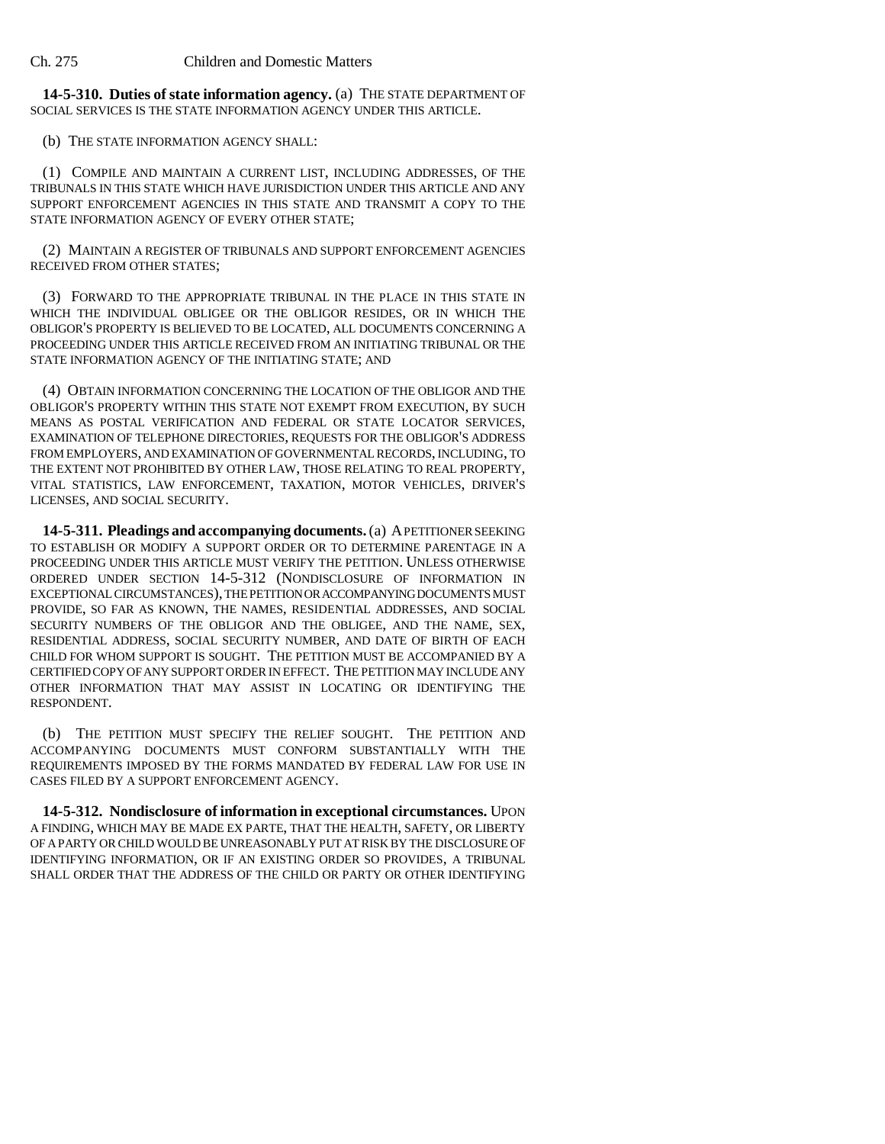**14-5-310. Duties of state information agency.** (a) THE STATE DEPARTMENT OF SOCIAL SERVICES IS THE STATE INFORMATION AGENCY UNDER THIS ARTICLE.

(b) THE STATE INFORMATION AGENCY SHALL:

(1) COMPILE AND MAINTAIN A CURRENT LIST, INCLUDING ADDRESSES, OF THE TRIBUNALS IN THIS STATE WHICH HAVE JURISDICTION UNDER THIS ARTICLE AND ANY SUPPORT ENFORCEMENT AGENCIES IN THIS STATE AND TRANSMIT A COPY TO THE STATE INFORMATION AGENCY OF EVERY OTHER STATE;

(2) MAINTAIN A REGISTER OF TRIBUNALS AND SUPPORT ENFORCEMENT AGENCIES RECEIVED FROM OTHER STATES;

(3) FORWARD TO THE APPROPRIATE TRIBUNAL IN THE PLACE IN THIS STATE IN WHICH THE INDIVIDUAL OBLIGEE OR THE OBLIGOR RESIDES, OR IN WHICH THE OBLIGOR'S PROPERTY IS BELIEVED TO BE LOCATED, ALL DOCUMENTS CONCERNING A PROCEEDING UNDER THIS ARTICLE RECEIVED FROM AN INITIATING TRIBUNAL OR THE STATE INFORMATION AGENCY OF THE INITIATING STATE; AND

(4) OBTAIN INFORMATION CONCERNING THE LOCATION OF THE OBLIGOR AND THE OBLIGOR'S PROPERTY WITHIN THIS STATE NOT EXEMPT FROM EXECUTION, BY SUCH MEANS AS POSTAL VERIFICATION AND FEDERAL OR STATE LOCATOR SERVICES, EXAMINATION OF TELEPHONE DIRECTORIES, REQUESTS FOR THE OBLIGOR'S ADDRESS FROM EMPLOYERS, AND EXAMINATION OF GOVERNMENTAL RECORDS, INCLUDING, TO THE EXTENT NOT PROHIBITED BY OTHER LAW, THOSE RELATING TO REAL PROPERTY, VITAL STATISTICS, LAW ENFORCEMENT, TAXATION, MOTOR VEHICLES, DRIVER'S LICENSES, AND SOCIAL SECURITY.

**14-5-311. Pleadings and accompanying documents.** (a) A PETITIONER SEEKING TO ESTABLISH OR MODIFY A SUPPORT ORDER OR TO DETERMINE PARENTAGE IN A PROCEEDING UNDER THIS ARTICLE MUST VERIFY THE PETITION. UNLESS OTHERWISE ORDERED UNDER SECTION 14-5-312 (NONDISCLOSURE OF INFORMATION IN EXCEPTIONAL CIRCUMSTANCES), THE PETITION OR ACCOMPANYING DOCUMENTS MUST PROVIDE, SO FAR AS KNOWN, THE NAMES, RESIDENTIAL ADDRESSES, AND SOCIAL SECURITY NUMBERS OF THE OBLIGOR AND THE OBLIGEE, AND THE NAME, SEX, RESIDENTIAL ADDRESS, SOCIAL SECURITY NUMBER, AND DATE OF BIRTH OF EACH CHILD FOR WHOM SUPPORT IS SOUGHT. THE PETITION MUST BE ACCOMPANIED BY A CERTIFIED COPY OF ANY SUPPORT ORDER IN EFFECT. THE PETITION MAY INCLUDE ANY OTHER INFORMATION THAT MAY ASSIST IN LOCATING OR IDENTIFYING THE RESPONDENT.

(b) THE PETITION MUST SPECIFY THE RELIEF SOUGHT. THE PETITION AND ACCOMPANYING DOCUMENTS MUST CONFORM SUBSTANTIALLY WITH THE REQUIREMENTS IMPOSED BY THE FORMS MANDATED BY FEDERAL LAW FOR USE IN CASES FILED BY A SUPPORT ENFORCEMENT AGENCY.

**14-5-312. Nondisclosure of information in exceptional circumstances.** UPON A FINDING, WHICH MAY BE MADE EX PARTE, THAT THE HEALTH, SAFETY, OR LIBERTY OF A PARTY OR CHILD WOULD BE UNREASONABLY PUT AT RISK BY THE DISCLOSURE OF IDENTIFYING INFORMATION, OR IF AN EXISTING ORDER SO PROVIDES, A TRIBUNAL SHALL ORDER THAT THE ADDRESS OF THE CHILD OR PARTY OR OTHER IDENTIFYING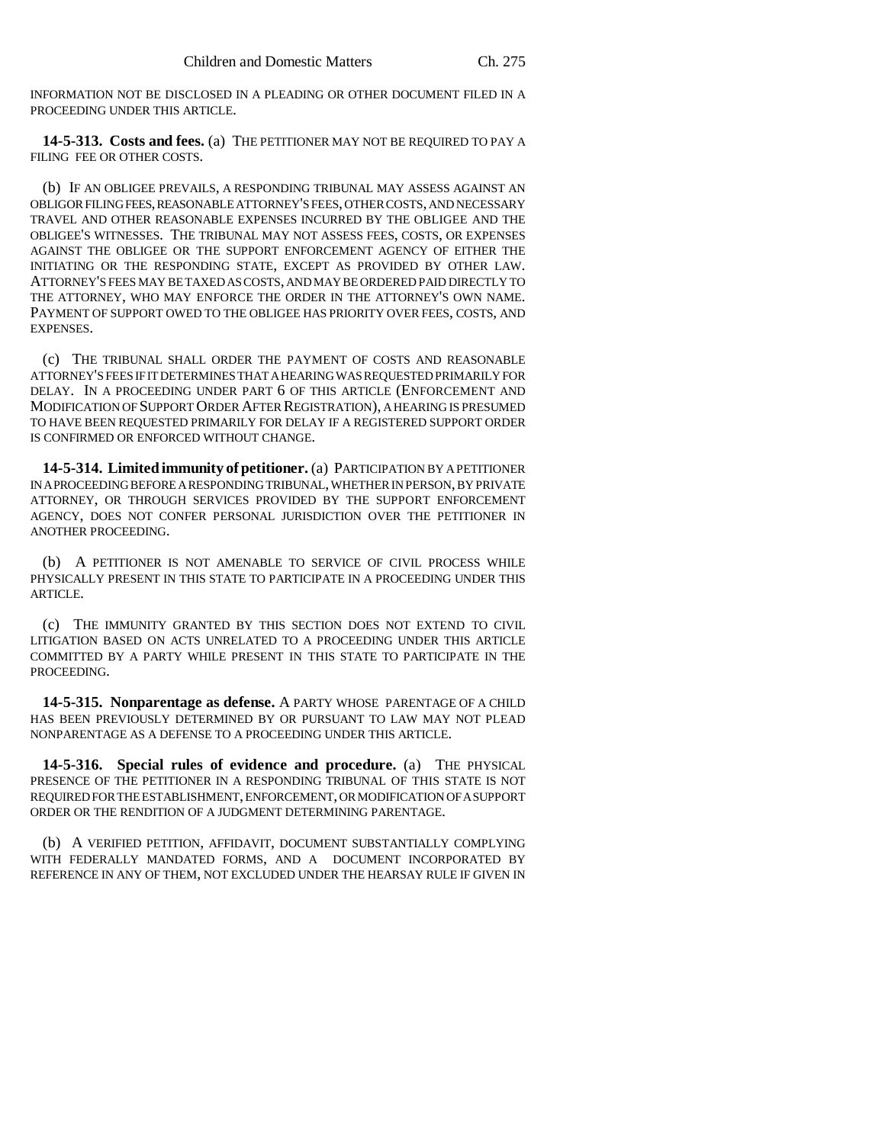INFORMATION NOT BE DISCLOSED IN A PLEADING OR OTHER DOCUMENT FILED IN A PROCEEDING UNDER THIS ARTICLE.

**14-5-313. Costs and fees.** (a) THE PETITIONER MAY NOT BE REQUIRED TO PAY A FILING FEE OR OTHER COSTS.

(b) IF AN OBLIGEE PREVAILS, A RESPONDING TRIBUNAL MAY ASSESS AGAINST AN OBLIGOR FILING FEES, REASONABLE ATTORNEY'S FEES, OTHER COSTS, AND NECESSARY TRAVEL AND OTHER REASONABLE EXPENSES INCURRED BY THE OBLIGEE AND THE OBLIGEE'S WITNESSES. THE TRIBUNAL MAY NOT ASSESS FEES, COSTS, OR EXPENSES AGAINST THE OBLIGEE OR THE SUPPORT ENFORCEMENT AGENCY OF EITHER THE INITIATING OR THE RESPONDING STATE, EXCEPT AS PROVIDED BY OTHER LAW. ATTORNEY'S FEES MAY BE TAXED AS COSTS, AND MAY BE ORDERED PAID DIRECTLY TO THE ATTORNEY, WHO MAY ENFORCE THE ORDER IN THE ATTORNEY'S OWN NAME. PAYMENT OF SUPPORT OWED TO THE OBLIGEE HAS PRIORITY OVER FEES, COSTS, AND EXPENSES.

(c) THE TRIBUNAL SHALL ORDER THE PAYMENT OF COSTS AND REASONABLE ATTORNEY'S FEES IF IT DETERMINES THAT A HEARING WAS REQUESTED PRIMARILY FOR DELAY. IN A PROCEEDING UNDER PART 6 OF THIS ARTICLE (ENFORCEMENT AND MODIFICATION OF SUPPORT ORDER AFTER REGISTRATION), A HEARING IS PRESUMED TO HAVE BEEN REQUESTED PRIMARILY FOR DELAY IF A REGISTERED SUPPORT ORDER IS CONFIRMED OR ENFORCED WITHOUT CHANGE.

**14-5-314. Limited immunity of petitioner.** (a) PARTICIPATION BY A PETITIONER IN A PROCEEDING BEFORE A RESPONDING TRIBUNAL, WHETHER IN PERSON, BY PRIVATE ATTORNEY, OR THROUGH SERVICES PROVIDED BY THE SUPPORT ENFORCEMENT AGENCY, DOES NOT CONFER PERSONAL JURISDICTION OVER THE PETITIONER IN ANOTHER PROCEEDING.

(b) A PETITIONER IS NOT AMENABLE TO SERVICE OF CIVIL PROCESS WHILE PHYSICALLY PRESENT IN THIS STATE TO PARTICIPATE IN A PROCEEDING UNDER THIS ARTICLE.

(c) THE IMMUNITY GRANTED BY THIS SECTION DOES NOT EXTEND TO CIVIL LITIGATION BASED ON ACTS UNRELATED TO A PROCEEDING UNDER THIS ARTICLE COMMITTED BY A PARTY WHILE PRESENT IN THIS STATE TO PARTICIPATE IN THE PROCEEDING.

**14-5-315. Nonparentage as defense.** A PARTY WHOSE PARENTAGE OF A CHILD HAS BEEN PREVIOUSLY DETERMINED BY OR PURSUANT TO LAW MAY NOT PLEAD NONPARENTAGE AS A DEFENSE TO A PROCEEDING UNDER THIS ARTICLE.

**14-5-316. Special rules of evidence and procedure.** (a) THE PHYSICAL PRESENCE OF THE PETITIONER IN A RESPONDING TRIBUNAL OF THIS STATE IS NOT REQUIRED FOR THE ESTABLISHMENT, ENFORCEMENT, OR MODIFICATION OF A SUPPORT ORDER OR THE RENDITION OF A JUDGMENT DETERMINING PARENTAGE.

(b) A VERIFIED PETITION, AFFIDAVIT, DOCUMENT SUBSTANTIALLY COMPLYING WITH FEDERALLY MANDATED FORMS, AND A DOCUMENT INCORPORATED BY REFERENCE IN ANY OF THEM, NOT EXCLUDED UNDER THE HEARSAY RULE IF GIVEN IN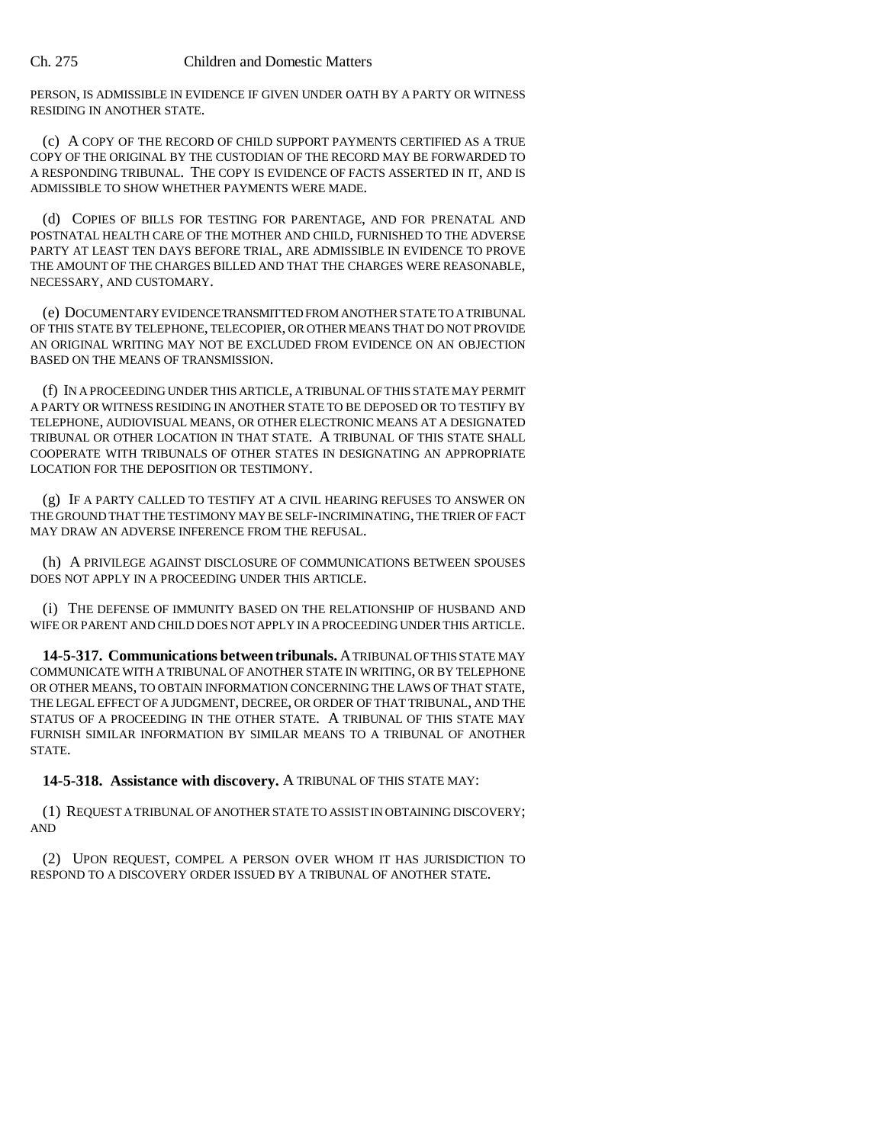PERSON, IS ADMISSIBLE IN EVIDENCE IF GIVEN UNDER OATH BY A PARTY OR WITNESS RESIDING IN ANOTHER STATE.

(c) A COPY OF THE RECORD OF CHILD SUPPORT PAYMENTS CERTIFIED AS A TRUE COPY OF THE ORIGINAL BY THE CUSTODIAN OF THE RECORD MAY BE FORWARDED TO A RESPONDING TRIBUNAL. THE COPY IS EVIDENCE OF FACTS ASSERTED IN IT, AND IS ADMISSIBLE TO SHOW WHETHER PAYMENTS WERE MADE.

(d) COPIES OF BILLS FOR TESTING FOR PARENTAGE, AND FOR PRENATAL AND POSTNATAL HEALTH CARE OF THE MOTHER AND CHILD, FURNISHED TO THE ADVERSE PARTY AT LEAST TEN DAYS BEFORE TRIAL, ARE ADMISSIBLE IN EVIDENCE TO PROVE THE AMOUNT OF THE CHARGES BILLED AND THAT THE CHARGES WERE REASONABLE, NECESSARY, AND CUSTOMARY.

(e) DOCUMENTARY EVIDENCE TRANSMITTED FROM ANOTHER STATE TO A TRIBUNAL OF THIS STATE BY TELEPHONE, TELECOPIER, OR OTHER MEANS THAT DO NOT PROVIDE AN ORIGINAL WRITING MAY NOT BE EXCLUDED FROM EVIDENCE ON AN OBJECTION BASED ON THE MEANS OF TRANSMISSION.

(f) IN A PROCEEDING UNDER THIS ARTICLE, A TRIBUNAL OF THIS STATE MAY PERMIT A PARTY OR WITNESS RESIDING IN ANOTHER STATE TO BE DEPOSED OR TO TESTIFY BY TELEPHONE, AUDIOVISUAL MEANS, OR OTHER ELECTRONIC MEANS AT A DESIGNATED TRIBUNAL OR OTHER LOCATION IN THAT STATE. A TRIBUNAL OF THIS STATE SHALL COOPERATE WITH TRIBUNALS OF OTHER STATES IN DESIGNATING AN APPROPRIATE LOCATION FOR THE DEPOSITION OR TESTIMONY.

(g) IF A PARTY CALLED TO TESTIFY AT A CIVIL HEARING REFUSES TO ANSWER ON THE GROUND THAT THE TESTIMONY MAY BE SELF-INCRIMINATING, THE TRIER OF FACT MAY DRAW AN ADVERSE INFERENCE FROM THE REFUSAL.

(h) A PRIVILEGE AGAINST DISCLOSURE OF COMMUNICATIONS BETWEEN SPOUSES DOES NOT APPLY IN A PROCEEDING UNDER THIS ARTICLE.

(i) THE DEFENSE OF IMMUNITY BASED ON THE RELATIONSHIP OF HUSBAND AND WIFE OR PARENT AND CHILD DOES NOT APPLY IN A PROCEEDING UNDER THIS ARTICLE.

**14-5-317. Communications between tribunals.** A TRIBUNAL OF THIS STATE MAY COMMUNICATE WITH A TRIBUNAL OF ANOTHER STATE IN WRITING, OR BY TELEPHONE OR OTHER MEANS, TO OBTAIN INFORMATION CONCERNING THE LAWS OF THAT STATE, THE LEGAL EFFECT OF A JUDGMENT, DECREE, OR ORDER OF THAT TRIBUNAL, AND THE STATUS OF A PROCEEDING IN THE OTHER STATE. A TRIBUNAL OF THIS STATE MAY FURNISH SIMILAR INFORMATION BY SIMILAR MEANS TO A TRIBUNAL OF ANOTHER STATE.

**14-5-318. Assistance with discovery.** A TRIBUNAL OF THIS STATE MAY:

(1) REQUEST A TRIBUNAL OF ANOTHER STATE TO ASSIST IN OBTAINING DISCOVERY; AND

(2) UPON REQUEST, COMPEL A PERSON OVER WHOM IT HAS JURISDICTION TO RESPOND TO A DISCOVERY ORDER ISSUED BY A TRIBUNAL OF ANOTHER STATE.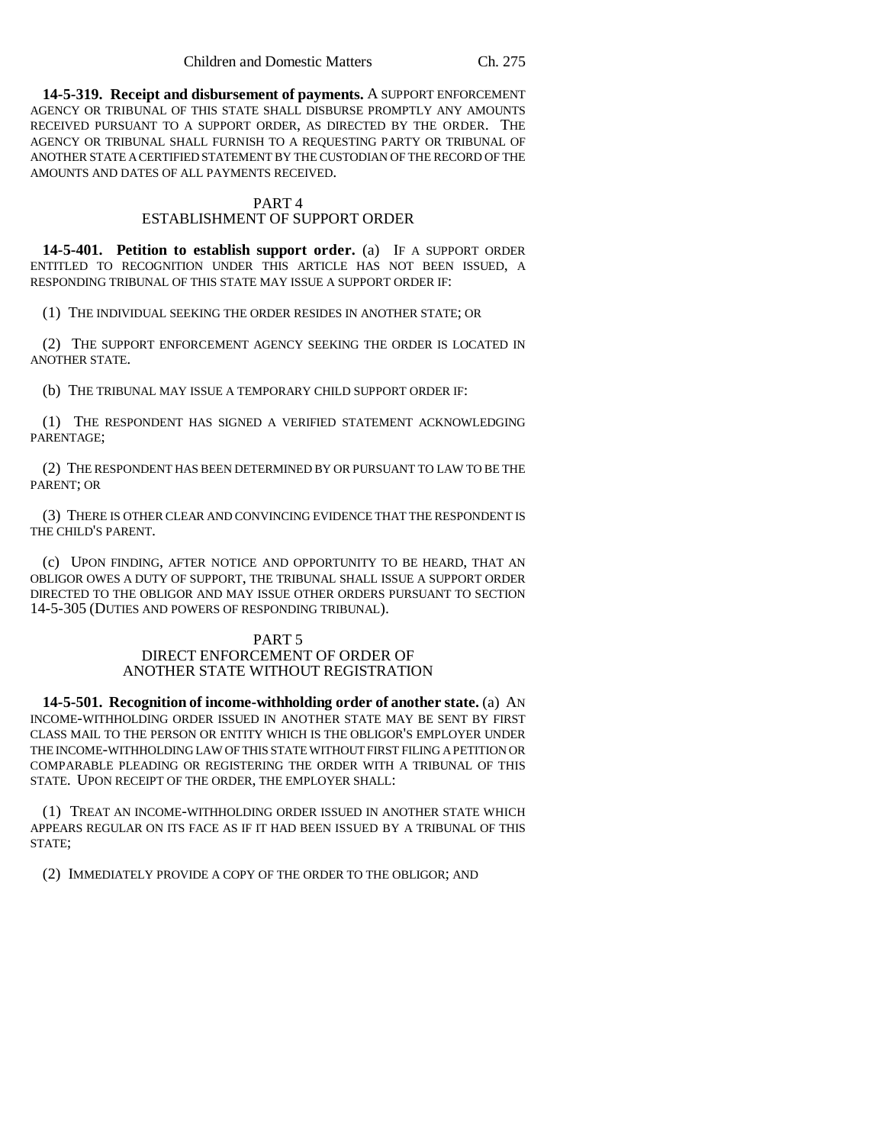**14-5-319. Receipt and disbursement of payments.** A SUPPORT ENFORCEMENT AGENCY OR TRIBUNAL OF THIS STATE SHALL DISBURSE PROMPTLY ANY AMOUNTS RECEIVED PURSUANT TO A SUPPORT ORDER, AS DIRECTED BY THE ORDER. THE AGENCY OR TRIBUNAL SHALL FURNISH TO A REQUESTING PARTY OR TRIBUNAL OF ANOTHER STATE A CERTIFIED STATEMENT BY THE CUSTODIAN OF THE RECORD OF THE AMOUNTS AND DATES OF ALL PAYMENTS RECEIVED.

### PART 4

# ESTABLISHMENT OF SUPPORT ORDER

**14-5-401. Petition to establish support order.** (a) IF A SUPPORT ORDER ENTITLED TO RECOGNITION UNDER THIS ARTICLE HAS NOT BEEN ISSUED, A RESPONDING TRIBUNAL OF THIS STATE MAY ISSUE A SUPPORT ORDER IF:

(1) THE INDIVIDUAL SEEKING THE ORDER RESIDES IN ANOTHER STATE; OR

(2) THE SUPPORT ENFORCEMENT AGENCY SEEKING THE ORDER IS LOCATED IN ANOTHER STATE.

(b) THE TRIBUNAL MAY ISSUE A TEMPORARY CHILD SUPPORT ORDER IF:

(1) THE RESPONDENT HAS SIGNED A VERIFIED STATEMENT ACKNOWLEDGING PARENTAGE;

(2) THE RESPONDENT HAS BEEN DETERMINED BY OR PURSUANT TO LAW TO BE THE PARENT; OR

(3) THERE IS OTHER CLEAR AND CONVINCING EVIDENCE THAT THE RESPONDENT IS THE CHILD'S PARENT.

(c) UPON FINDING, AFTER NOTICE AND OPPORTUNITY TO BE HEARD, THAT AN OBLIGOR OWES A DUTY OF SUPPORT, THE TRIBUNAL SHALL ISSUE A SUPPORT ORDER DIRECTED TO THE OBLIGOR AND MAY ISSUE OTHER ORDERS PURSUANT TO SECTION 14-5-305 (DUTIES AND POWERS OF RESPONDING TRIBUNAL).

#### PART 5 DIRECT ENFORCEMENT OF ORDER OF ANOTHER STATE WITHOUT REGISTRATION

**14-5-501. Recognition of income-withholding order of another state.** (a) AN INCOME-WITHHOLDING ORDER ISSUED IN ANOTHER STATE MAY BE SENT BY FIRST CLASS MAIL TO THE PERSON OR ENTITY WHICH IS THE OBLIGOR'S EMPLOYER UNDER THE INCOME-WITHHOLDING LAW OF THIS STATE WITHOUT FIRST FILING A PETITION OR COMPARABLE PLEADING OR REGISTERING THE ORDER WITH A TRIBUNAL OF THIS STATE. UPON RECEIPT OF THE ORDER, THE EMPLOYER SHALL:

(1) TREAT AN INCOME-WITHHOLDING ORDER ISSUED IN ANOTHER STATE WHICH APPEARS REGULAR ON ITS FACE AS IF IT HAD BEEN ISSUED BY A TRIBUNAL OF THIS STATE;

(2) IMMEDIATELY PROVIDE A COPY OF THE ORDER TO THE OBLIGOR; AND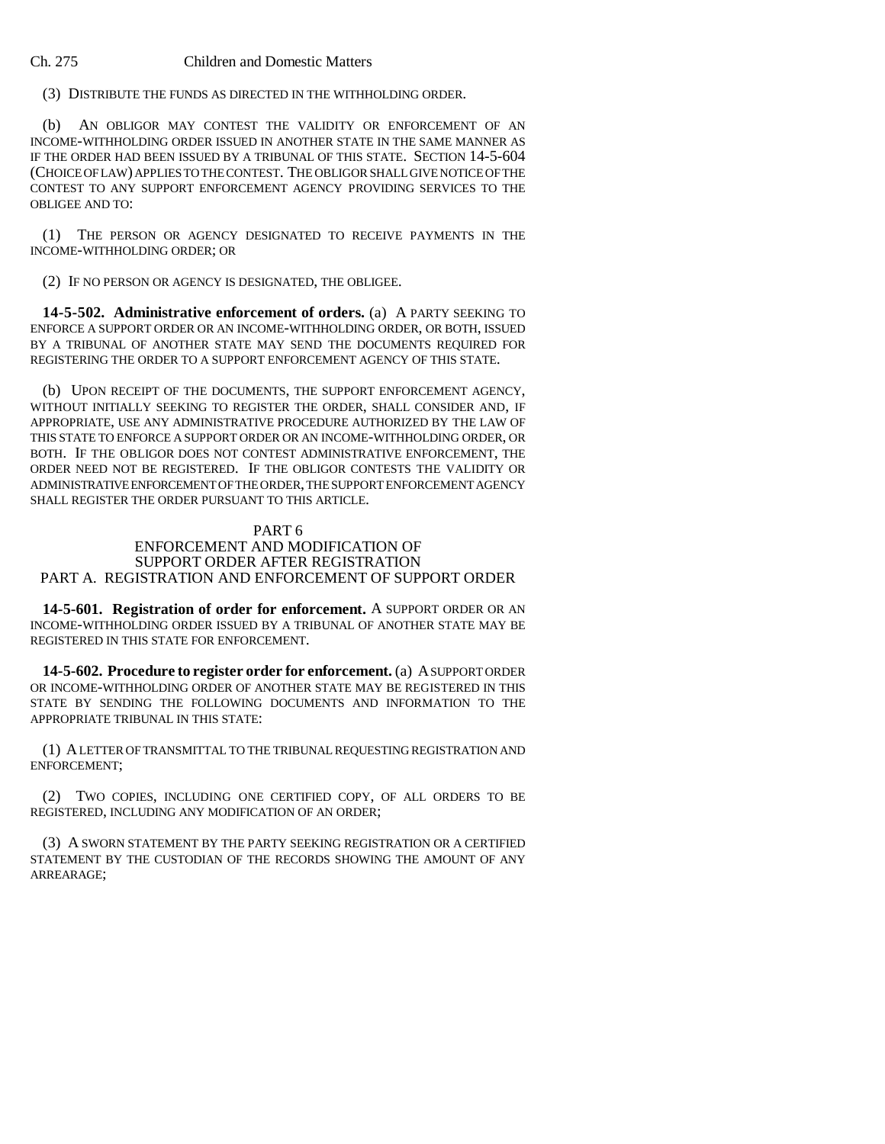(3) DISTRIBUTE THE FUNDS AS DIRECTED IN THE WITHHOLDING ORDER.

(b) AN OBLIGOR MAY CONTEST THE VALIDITY OR ENFORCEMENT OF AN INCOME-WITHHOLDING ORDER ISSUED IN ANOTHER STATE IN THE SAME MANNER AS IF THE ORDER HAD BEEN ISSUED BY A TRIBUNAL OF THIS STATE. SECTION 14-5-604 (CHOICE OF LAW) APPLIES TO THE CONTEST. THE OBLIGOR SHALL GIVE NOTICE OF THE CONTEST TO ANY SUPPORT ENFORCEMENT AGENCY PROVIDING SERVICES TO THE OBLIGEE AND TO:

(1) THE PERSON OR AGENCY DESIGNATED TO RECEIVE PAYMENTS IN THE INCOME-WITHHOLDING ORDER; OR

(2) IF NO PERSON OR AGENCY IS DESIGNATED, THE OBLIGEE.

**14-5-502. Administrative enforcement of orders.** (a) A PARTY SEEKING TO ENFORCE A SUPPORT ORDER OR AN INCOME-WITHHOLDING ORDER, OR BOTH, ISSUED BY A TRIBUNAL OF ANOTHER STATE MAY SEND THE DOCUMENTS REQUIRED FOR REGISTERING THE ORDER TO A SUPPORT ENFORCEMENT AGENCY OF THIS STATE.

(b) UPON RECEIPT OF THE DOCUMENTS, THE SUPPORT ENFORCEMENT AGENCY, WITHOUT INITIALLY SEEKING TO REGISTER THE ORDER, SHALL CONSIDER AND, IF APPROPRIATE, USE ANY ADMINISTRATIVE PROCEDURE AUTHORIZED BY THE LAW OF THIS STATE TO ENFORCE A SUPPORT ORDER OR AN INCOME-WITHHOLDING ORDER, OR BOTH. IF THE OBLIGOR DOES NOT CONTEST ADMINISTRATIVE ENFORCEMENT, THE ORDER NEED NOT BE REGISTERED. IF THE OBLIGOR CONTESTS THE VALIDITY OR ADMINISTRATIVE ENFORCEMENT OF THE ORDER, THE SUPPORT ENFORCEMENT AGENCY SHALL REGISTER THE ORDER PURSUANT TO THIS ARTICLE.

# PART 6 ENFORCEMENT AND MODIFICATION OF SUPPORT ORDER AFTER REGISTRATION PART A. REGISTRATION AND ENFORCEMENT OF SUPPORT ORDER

**14-5-601. Registration of order for enforcement.** A SUPPORT ORDER OR AN INCOME-WITHHOLDING ORDER ISSUED BY A TRIBUNAL OF ANOTHER STATE MAY BE REGISTERED IN THIS STATE FOR ENFORCEMENT.

**14-5-602. Procedure to register order for enforcement.** (a) A SUPPORT ORDER OR INCOME-WITHHOLDING ORDER OF ANOTHER STATE MAY BE REGISTERED IN THIS STATE BY SENDING THE FOLLOWING DOCUMENTS AND INFORMATION TO THE APPROPRIATE TRIBUNAL IN THIS STATE:

(1) A LETTER OF TRANSMITTAL TO THE TRIBUNAL REQUESTING REGISTRATION AND ENFORCEMENT;

(2) TWO COPIES, INCLUDING ONE CERTIFIED COPY, OF ALL ORDERS TO BE REGISTERED, INCLUDING ANY MODIFICATION OF AN ORDER;

(3) A SWORN STATEMENT BY THE PARTY SEEKING REGISTRATION OR A CERTIFIED STATEMENT BY THE CUSTODIAN OF THE RECORDS SHOWING THE AMOUNT OF ANY ARREARAGE;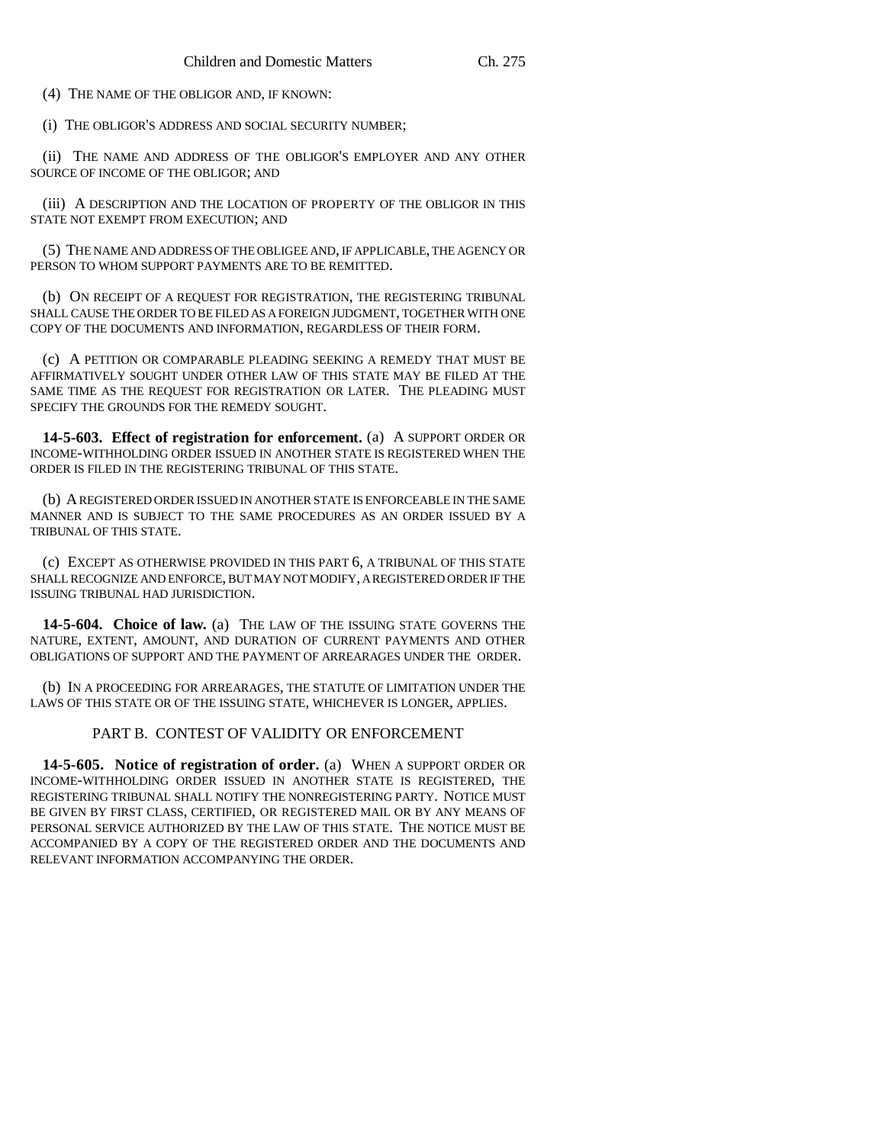(4) THE NAME OF THE OBLIGOR AND, IF KNOWN:

(i) THE OBLIGOR'S ADDRESS AND SOCIAL SECURITY NUMBER;

(ii) THE NAME AND ADDRESS OF THE OBLIGOR'S EMPLOYER AND ANY OTHER SOURCE OF INCOME OF THE OBLIGOR; AND

(iii) A DESCRIPTION AND THE LOCATION OF PROPERTY OF THE OBLIGOR IN THIS STATE NOT EXEMPT FROM EXECUTION; AND

(5) THE NAME AND ADDRESS OF THE OBLIGEE AND, IF APPLICABLE, THE AGENCY OR PERSON TO WHOM SUPPORT PAYMENTS ARE TO BE REMITTED.

(b) ON RECEIPT OF A REQUEST FOR REGISTRATION, THE REGISTERING TRIBUNAL SHALL CAUSE THE ORDER TO BE FILED AS A FOREIGN JUDGMENT, TOGETHER WITH ONE COPY OF THE DOCUMENTS AND INFORMATION, REGARDLESS OF THEIR FORM.

(c) A PETITION OR COMPARABLE PLEADING SEEKING A REMEDY THAT MUST BE AFFIRMATIVELY SOUGHT UNDER OTHER LAW OF THIS STATE MAY BE FILED AT THE SAME TIME AS THE REQUEST FOR REGISTRATION OR LATER. THE PLEADING MUST SPECIFY THE GROUNDS FOR THE REMEDY SOUGHT.

**14-5-603. Effect of registration for enforcement.** (a) A SUPPORT ORDER OR INCOME-WITHHOLDING ORDER ISSUED IN ANOTHER STATE IS REGISTERED WHEN THE ORDER IS FILED IN THE REGISTERING TRIBUNAL OF THIS STATE.

(b) A REGISTERED ORDER ISSUED IN ANOTHER STATE IS ENFORCEABLE IN THE SAME MANNER AND IS SUBJECT TO THE SAME PROCEDURES AS AN ORDER ISSUED BY A TRIBUNAL OF THIS STATE.

(c) EXCEPT AS OTHERWISE PROVIDED IN THIS PART 6, A TRIBUNAL OF THIS STATE SHALL RECOGNIZE AND ENFORCE, BUT MAY NOT MODIFY, A REGISTERED ORDER IF THE ISSUING TRIBUNAL HAD JURISDICTION.

**14-5-604. Choice of law.** (a) THE LAW OF THE ISSUING STATE GOVERNS THE NATURE, EXTENT, AMOUNT, AND DURATION OF CURRENT PAYMENTS AND OTHER OBLIGATIONS OF SUPPORT AND THE PAYMENT OF ARREARAGES UNDER THE ORDER.

(b) IN A PROCEEDING FOR ARREARAGES, THE STATUTE OF LIMITATION UNDER THE LAWS OF THIS STATE OR OF THE ISSUING STATE, WHICHEVER IS LONGER, APPLIES.

# PART B. CONTEST OF VALIDITY OR ENFORCEMENT

**14-5-605. Notice of registration of order.** (a) WHEN A SUPPORT ORDER OR INCOME-WITHHOLDING ORDER ISSUED IN ANOTHER STATE IS REGISTERED, THE REGISTERING TRIBUNAL SHALL NOTIFY THE NONREGISTERING PARTY. NOTICE MUST BE GIVEN BY FIRST CLASS, CERTIFIED, OR REGISTERED MAIL OR BY ANY MEANS OF PERSONAL SERVICE AUTHORIZED BY THE LAW OF THIS STATE. THE NOTICE MUST BE ACCOMPANIED BY A COPY OF THE REGISTERED ORDER AND THE DOCUMENTS AND RELEVANT INFORMATION ACCOMPANYING THE ORDER.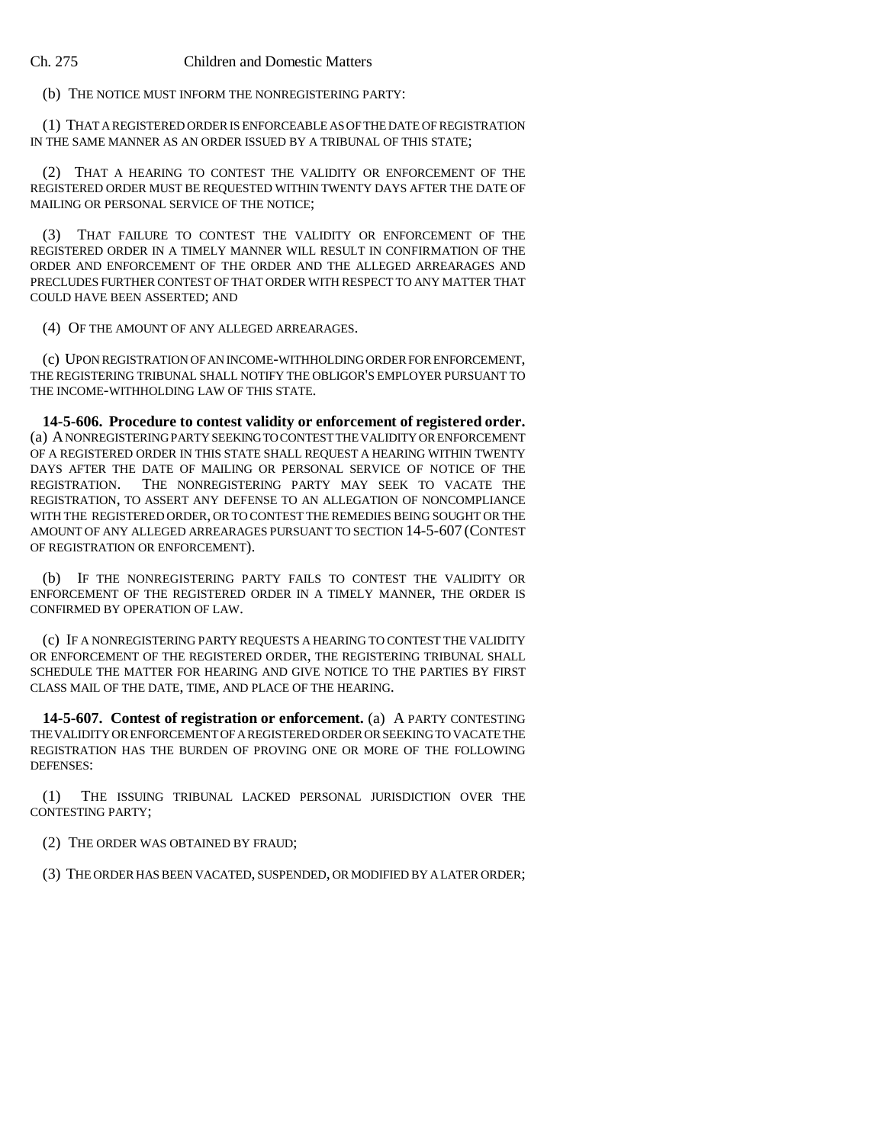(b) THE NOTICE MUST INFORM THE NONREGISTERING PARTY:

(1) THAT A REGISTERED ORDER IS ENFORCEABLE AS OF THE DATE OF REGISTRATION IN THE SAME MANNER AS AN ORDER ISSUED BY A TRIBUNAL OF THIS STATE;

(2) THAT A HEARING TO CONTEST THE VALIDITY OR ENFORCEMENT OF THE REGISTERED ORDER MUST BE REQUESTED WITHIN TWENTY DAYS AFTER THE DATE OF MAILING OR PERSONAL SERVICE OF THE NOTICE;

(3) THAT FAILURE TO CONTEST THE VALIDITY OR ENFORCEMENT OF THE REGISTERED ORDER IN A TIMELY MANNER WILL RESULT IN CONFIRMATION OF THE ORDER AND ENFORCEMENT OF THE ORDER AND THE ALLEGED ARREARAGES AND PRECLUDES FURTHER CONTEST OF THAT ORDER WITH RESPECT TO ANY MATTER THAT COULD HAVE BEEN ASSERTED; AND

(4) OF THE AMOUNT OF ANY ALLEGED ARREARAGES.

(c) UPON REGISTRATION OF AN INCOME-WITHHOLDING ORDER FOR ENFORCEMENT, THE REGISTERING TRIBUNAL SHALL NOTIFY THE OBLIGOR'S EMPLOYER PURSUANT TO THE INCOME-WITHHOLDING LAW OF THIS STATE.

**14-5-606. Procedure to contest validity or enforcement of registered order.** (a) A NONREGISTERING PARTY SEEKING TO CONTEST THE VALIDITY OR ENFORCEMENT OF A REGISTERED ORDER IN THIS STATE SHALL REQUEST A HEARING WITHIN TWENTY DAYS AFTER THE DATE OF MAILING OR PERSONAL SERVICE OF NOTICE OF THE REGISTRATION. THE NONREGISTERING PARTY MAY SEEK TO VACATE THE REGISTRATION, TO ASSERT ANY DEFENSE TO AN ALLEGATION OF NONCOMPLIANCE WITH THE REGISTERED ORDER, OR TO CONTEST THE REMEDIES BEING SOUGHT OR THE AMOUNT OF ANY ALLEGED ARREARAGES PURSUANT TO SECTION 14-5-607 (CONTEST OF REGISTRATION OR ENFORCEMENT).

(b) IF THE NONREGISTERING PARTY FAILS TO CONTEST THE VALIDITY OR ENFORCEMENT OF THE REGISTERED ORDER IN A TIMELY MANNER, THE ORDER IS CONFIRMED BY OPERATION OF LAW.

(c) IF A NONREGISTERING PARTY REQUESTS A HEARING TO CONTEST THE VALIDITY OR ENFORCEMENT OF THE REGISTERED ORDER, THE REGISTERING TRIBUNAL SHALL SCHEDULE THE MATTER FOR HEARING AND GIVE NOTICE TO THE PARTIES BY FIRST CLASS MAIL OF THE DATE, TIME, AND PLACE OF THE HEARING.

**14-5-607. Contest of registration or enforcement.** (a) A PARTY CONTESTING THE VALIDITY OR ENFORCEMENT OF A REGISTERED ORDER OR SEEKING TO VACATE THE REGISTRATION HAS THE BURDEN OF PROVING ONE OR MORE OF THE FOLLOWING DEFENSES:

(1) THE ISSUING TRIBUNAL LACKED PERSONAL JURISDICTION OVER THE CONTESTING PARTY;

(2) THE ORDER WAS OBTAINED BY FRAUD;

(3) THE ORDER HAS BEEN VACATED, SUSPENDED, OR MODIFIED BY A LATER ORDER;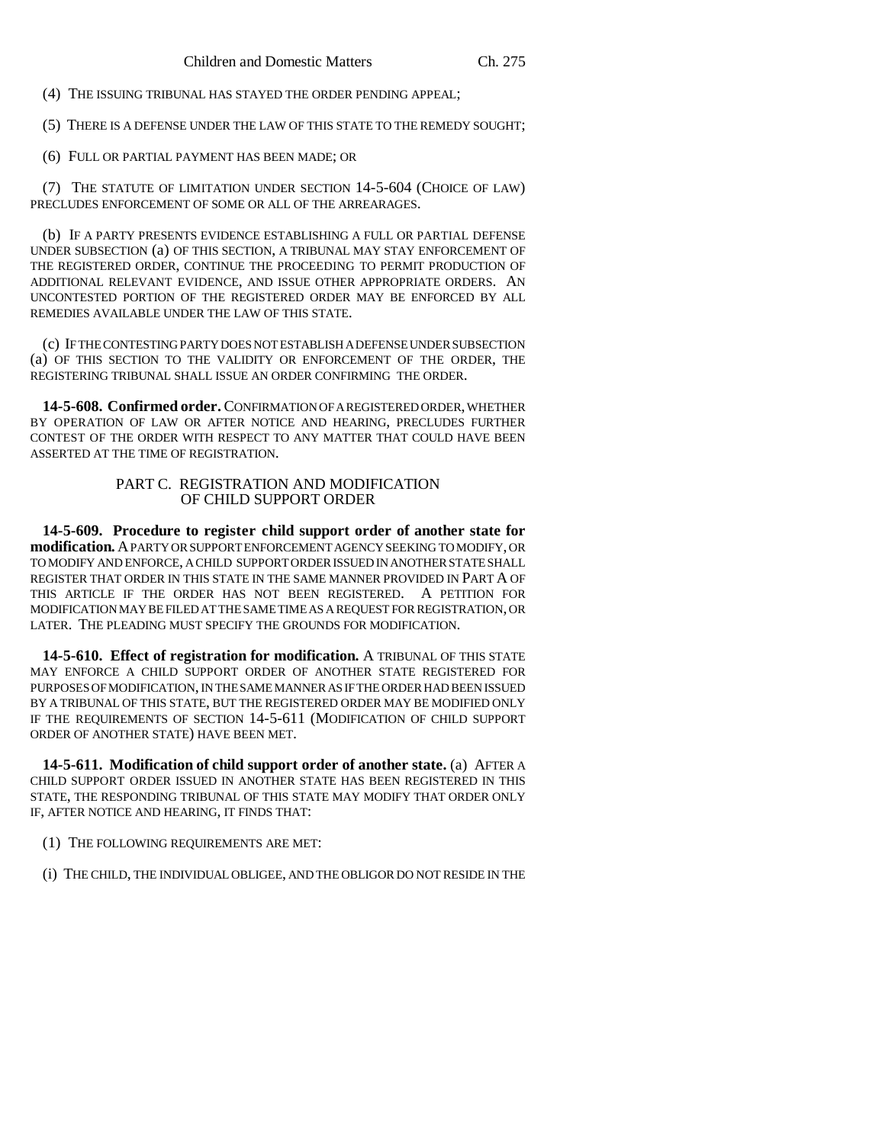(4) THE ISSUING TRIBUNAL HAS STAYED THE ORDER PENDING APPEAL;

(5) THERE IS A DEFENSE UNDER THE LAW OF THIS STATE TO THE REMEDY SOUGHT;

(6) FULL OR PARTIAL PAYMENT HAS BEEN MADE; OR

(7) THE STATUTE OF LIMITATION UNDER SECTION 14-5-604 (CHOICE OF LAW) PRECLUDES ENFORCEMENT OF SOME OR ALL OF THE ARREARAGES.

(b) IF A PARTY PRESENTS EVIDENCE ESTABLISHING A FULL OR PARTIAL DEFENSE UNDER SUBSECTION (a) OF THIS SECTION, A TRIBUNAL MAY STAY ENFORCEMENT OF THE REGISTERED ORDER, CONTINUE THE PROCEEDING TO PERMIT PRODUCTION OF ADDITIONAL RELEVANT EVIDENCE, AND ISSUE OTHER APPROPRIATE ORDERS. AN UNCONTESTED PORTION OF THE REGISTERED ORDER MAY BE ENFORCED BY ALL REMEDIES AVAILABLE UNDER THE LAW OF THIS STATE.

(c) IF THE CONTESTING PARTY DOES NOT ESTABLISH A DEFENSE UNDER SUBSECTION (a) OF THIS SECTION TO THE VALIDITY OR ENFORCEMENT OF THE ORDER, THE REGISTERING TRIBUNAL SHALL ISSUE AN ORDER CONFIRMING THE ORDER.

**14-5-608. Confirmed order.** CONFIRMATION OF A REGISTERED ORDER, WHETHER BY OPERATION OF LAW OR AFTER NOTICE AND HEARING, PRECLUDES FURTHER CONTEST OF THE ORDER WITH RESPECT TO ANY MATTER THAT COULD HAVE BEEN ASSERTED AT THE TIME OF REGISTRATION.

# PART C. REGISTRATION AND MODIFICATION OF CHILD SUPPORT ORDER

**14-5-609. Procedure to register child support order of another state for modification.** A PARTY OR SUPPORT ENFORCEMENT AGENCY SEEKING TO MODIFY, OR TO MODIFY AND ENFORCE, A CHILD SUPPORT ORDER ISSUED IN ANOTHER STATE SHALL REGISTER THAT ORDER IN THIS STATE IN THE SAME MANNER PROVIDED IN PART A OF THIS ARTICLE IF THE ORDER HAS NOT BEEN REGISTERED. A PETITION FOR MODIFICATION MAY BE FILED AT THE SAME TIME AS A REQUEST FOR REGISTRATION, OR LATER. THE PLEADING MUST SPECIFY THE GROUNDS FOR MODIFICATION.

**14-5-610. Effect of registration for modification.** A TRIBUNAL OF THIS STATE MAY ENFORCE A CHILD SUPPORT ORDER OF ANOTHER STATE REGISTERED FOR PURPOSES OF MODIFICATION, IN THE SAME MANNER AS IF THE ORDER HAD BEEN ISSUED BY A TRIBUNAL OF THIS STATE, BUT THE REGISTERED ORDER MAY BE MODIFIED ONLY IF THE REQUIREMENTS OF SECTION 14-5-611 (MODIFICATION OF CHILD SUPPORT ORDER OF ANOTHER STATE) HAVE BEEN MET.

**14-5-611. Modification of child support order of another state.** (a) AFTER A CHILD SUPPORT ORDER ISSUED IN ANOTHER STATE HAS BEEN REGISTERED IN THIS STATE, THE RESPONDING TRIBUNAL OF THIS STATE MAY MODIFY THAT ORDER ONLY IF, AFTER NOTICE AND HEARING, IT FINDS THAT:

(1) THE FOLLOWING REQUIREMENTS ARE MET:

(i) THE CHILD, THE INDIVIDUAL OBLIGEE, AND THE OBLIGOR DO NOT RESIDE IN THE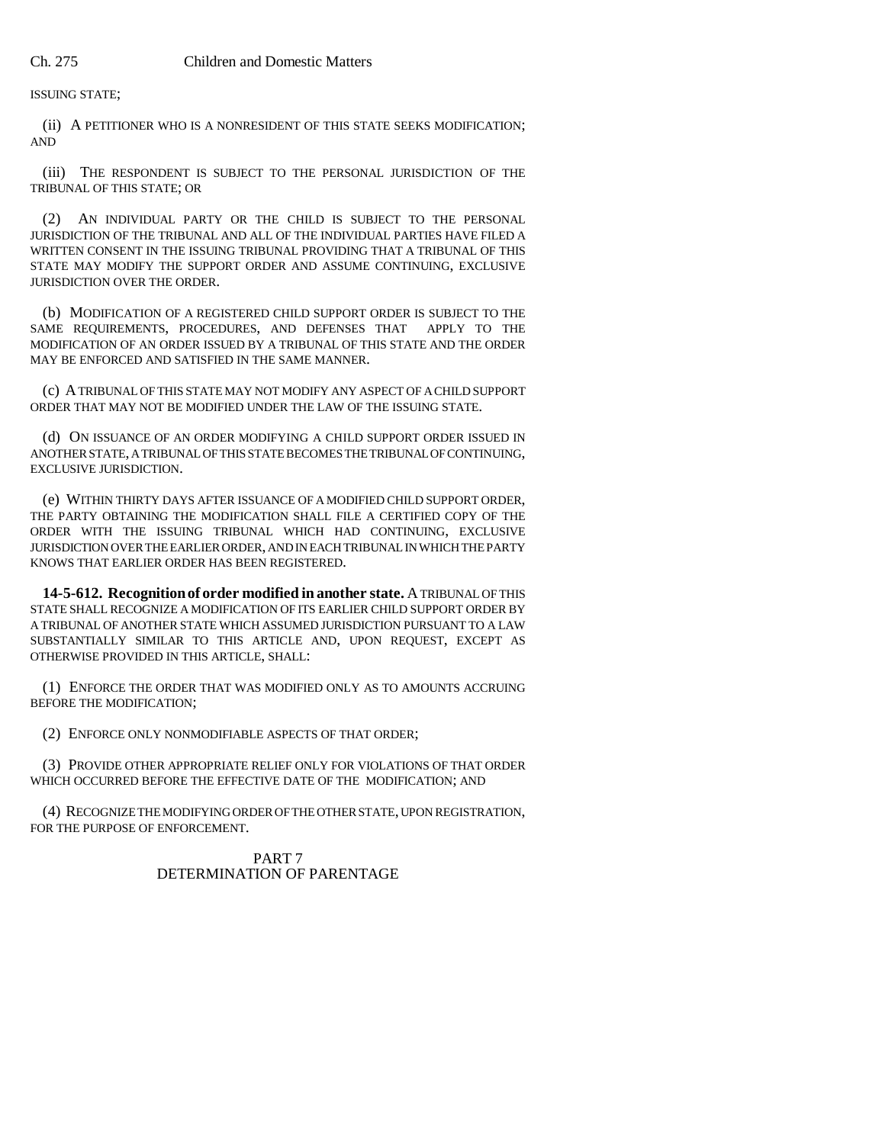ISSUING STATE;

(ii) A PETITIONER WHO IS A NONRESIDENT OF THIS STATE SEEKS MODIFICATION; AND

(iii) THE RESPONDENT IS SUBJECT TO THE PERSONAL JURISDICTION OF THE TRIBUNAL OF THIS STATE; OR

(2) AN INDIVIDUAL PARTY OR THE CHILD IS SUBJECT TO THE PERSONAL JURISDICTION OF THE TRIBUNAL AND ALL OF THE INDIVIDUAL PARTIES HAVE FILED A WRITTEN CONSENT IN THE ISSUING TRIBUNAL PROVIDING THAT A TRIBUNAL OF THIS STATE MAY MODIFY THE SUPPORT ORDER AND ASSUME CONTINUING, EXCLUSIVE JURISDICTION OVER THE ORDER.

(b) MODIFICATION OF A REGISTERED CHILD SUPPORT ORDER IS SUBJECT TO THE SAME REQUIREMENTS, PROCEDURES, AND DEFENSES THAT APPLY TO THE MODIFICATION OF AN ORDER ISSUED BY A TRIBUNAL OF THIS STATE AND THE ORDER MAY BE ENFORCED AND SATISFIED IN THE SAME MANNER.

(c) A TRIBUNAL OF THIS STATE MAY NOT MODIFY ANY ASPECT OF A CHILD SUPPORT ORDER THAT MAY NOT BE MODIFIED UNDER THE LAW OF THE ISSUING STATE.

(d) ON ISSUANCE OF AN ORDER MODIFYING A CHILD SUPPORT ORDER ISSUED IN ANOTHER STATE, A TRIBUNAL OF THIS STATE BECOMES THE TRIBUNAL OF CONTINUING, EXCLUSIVE JURISDICTION.

(e) WITHIN THIRTY DAYS AFTER ISSUANCE OF A MODIFIED CHILD SUPPORT ORDER, THE PARTY OBTAINING THE MODIFICATION SHALL FILE A CERTIFIED COPY OF THE ORDER WITH THE ISSUING TRIBUNAL WHICH HAD CONTINUING, EXCLUSIVE JURISDICTION OVER THE EARLIER ORDER, AND IN EACH TRIBUNAL IN WHICH THE PARTY KNOWS THAT EARLIER ORDER HAS BEEN REGISTERED.

**14-5-612. Recognition of order modified in another state.** A TRIBUNAL OF THIS STATE SHALL RECOGNIZE A MODIFICATION OF ITS EARLIER CHILD SUPPORT ORDER BY A TRIBUNAL OF ANOTHER STATE WHICH ASSUMED JURISDICTION PURSUANT TO A LAW SUBSTANTIALLY SIMILAR TO THIS ARTICLE AND, UPON REQUEST, EXCEPT AS OTHERWISE PROVIDED IN THIS ARTICLE, SHALL:

(1) ENFORCE THE ORDER THAT WAS MODIFIED ONLY AS TO AMOUNTS ACCRUING BEFORE THE MODIFICATION;

(2) ENFORCE ONLY NONMODIFIABLE ASPECTS OF THAT ORDER;

(3) PROVIDE OTHER APPROPRIATE RELIEF ONLY FOR VIOLATIONS OF THAT ORDER WHICH OCCURRED BEFORE THE EFFECTIVE DATE OF THE MODIFICATION; AND

(4) RECOGNIZE THE MODIFYING ORDER OF THE OTHER STATE, UPON REGISTRATION, FOR THE PURPOSE OF ENFORCEMENT.

> PART 7 DETERMINATION OF PARENTAGE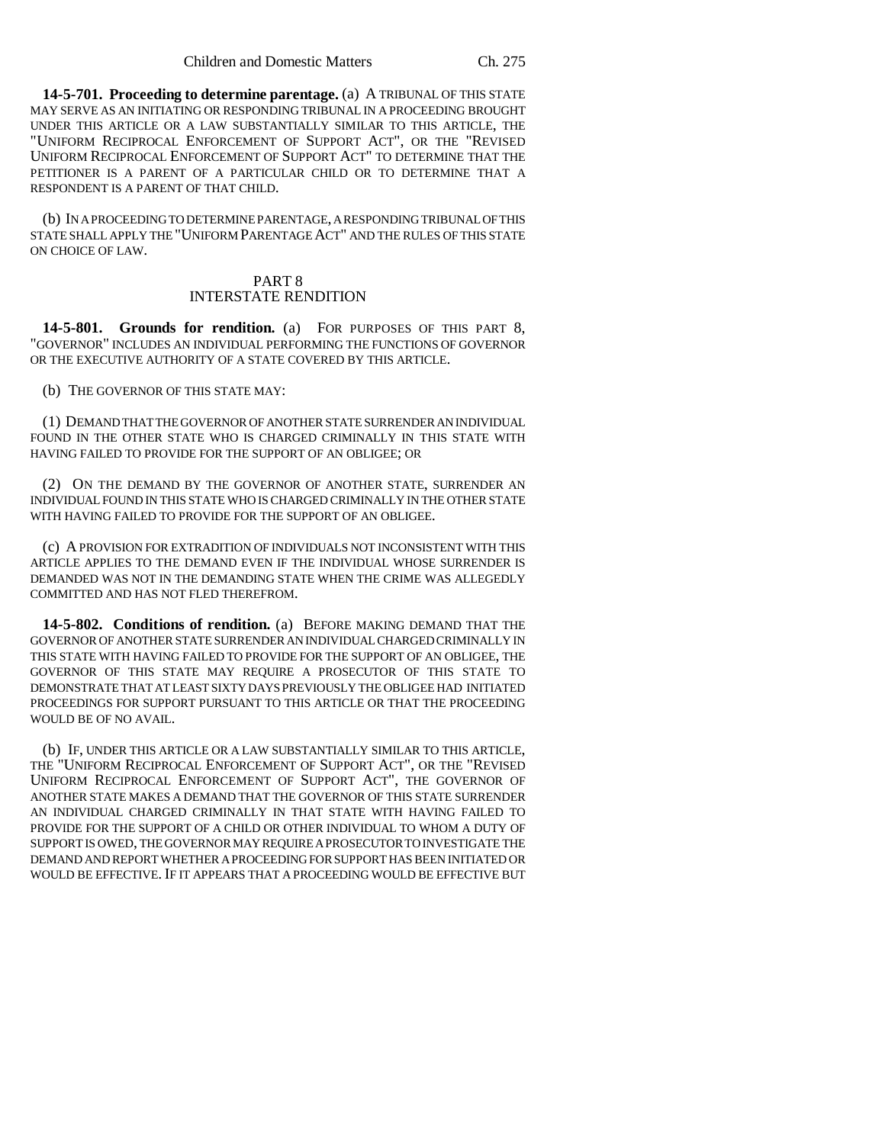**14-5-701. Proceeding to determine parentage.** (a) A TRIBUNAL OF THIS STATE MAY SERVE AS AN INITIATING OR RESPONDING TRIBUNAL IN A PROCEEDING BROUGHT UNDER THIS ARTICLE OR A LAW SUBSTANTIALLY SIMILAR TO THIS ARTICLE, THE "UNIFORM RECIPROCAL ENFORCEMENT OF SUPPORT ACT", OR THE "REVISED UNIFORM RECIPROCAL ENFORCEMENT OF SUPPORT ACT" TO DETERMINE THAT THE PETITIONER IS A PARENT OF A PARTICULAR CHILD OR TO DETERMINE THAT A RESPONDENT IS A PARENT OF THAT CHILD.

(b) IN A PROCEEDING TO DETERMINE PARENTAGE, A RESPONDING TRIBUNAL OF THIS STATE SHALL APPLY THE "UNIFORM PARENTAGE ACT" AND THE RULES OF THIS STATE ON CHOICE OF LAW.

### PART 8 INTERSTATE RENDITION

**14-5-801. Grounds for rendition.** (a) FOR PURPOSES OF THIS PART 8, "GOVERNOR" INCLUDES AN INDIVIDUAL PERFORMING THE FUNCTIONS OF GOVERNOR OR THE EXECUTIVE AUTHORITY OF A STATE COVERED BY THIS ARTICLE.

(b) THE GOVERNOR OF THIS STATE MAY:

(1) DEMAND THAT THE GOVERNOR OF ANOTHER STATE SURRENDER AN INDIVIDUAL FOUND IN THE OTHER STATE WHO IS CHARGED CRIMINALLY IN THIS STATE WITH HAVING FAILED TO PROVIDE FOR THE SUPPORT OF AN OBLIGEE; OR

(2) ON THE DEMAND BY THE GOVERNOR OF ANOTHER STATE, SURRENDER AN INDIVIDUAL FOUND IN THIS STATE WHO IS CHARGED CRIMINALLY IN THE OTHER STATE WITH HAVING FAILED TO PROVIDE FOR THE SUPPORT OF AN OBLIGEE.

(c) A PROVISION FOR EXTRADITION OF INDIVIDUALS NOT INCONSISTENT WITH THIS ARTICLE APPLIES TO THE DEMAND EVEN IF THE INDIVIDUAL WHOSE SURRENDER IS DEMANDED WAS NOT IN THE DEMANDING STATE WHEN THE CRIME WAS ALLEGEDLY COMMITTED AND HAS NOT FLED THEREFROM.

**14-5-802. Conditions of rendition.** (a) BEFORE MAKING DEMAND THAT THE GOVERNOR OF ANOTHER STATE SURRENDER AN INDIVIDUAL CHARGED CRIMINALLY IN THIS STATE WITH HAVING FAILED TO PROVIDE FOR THE SUPPORT OF AN OBLIGEE, THE GOVERNOR OF THIS STATE MAY REQUIRE A PROSECUTOR OF THIS STATE TO DEMONSTRATE THAT AT LEAST SIXTY DAYS PREVIOUSLY THE OBLIGEE HAD INITIATED PROCEEDINGS FOR SUPPORT PURSUANT TO THIS ARTICLE OR THAT THE PROCEEDING WOULD BE OF NO AVAIL.

(b) IF, UNDER THIS ARTICLE OR A LAW SUBSTANTIALLY SIMILAR TO THIS ARTICLE, THE "UNIFORM RECIPROCAL ENFORCEMENT OF SUPPORT ACT", OR THE "REVISED UNIFORM RECIPROCAL ENFORCEMENT OF SUPPORT ACT", THE GOVERNOR OF ANOTHER STATE MAKES A DEMAND THAT THE GOVERNOR OF THIS STATE SURRENDER AN INDIVIDUAL CHARGED CRIMINALLY IN THAT STATE WITH HAVING FAILED TO PROVIDE FOR THE SUPPORT OF A CHILD OR OTHER INDIVIDUAL TO WHOM A DUTY OF SUPPORT IS OWED, THE GOVERNOR MAY REQUIRE A PROSECUTOR TO INVESTIGATE THE DEMAND AND REPORT WHETHER A PROCEEDING FOR SUPPORT HAS BEEN INITIATED OR WOULD BE EFFECTIVE. IF IT APPEARS THAT A PROCEEDING WOULD BE EFFECTIVE BUT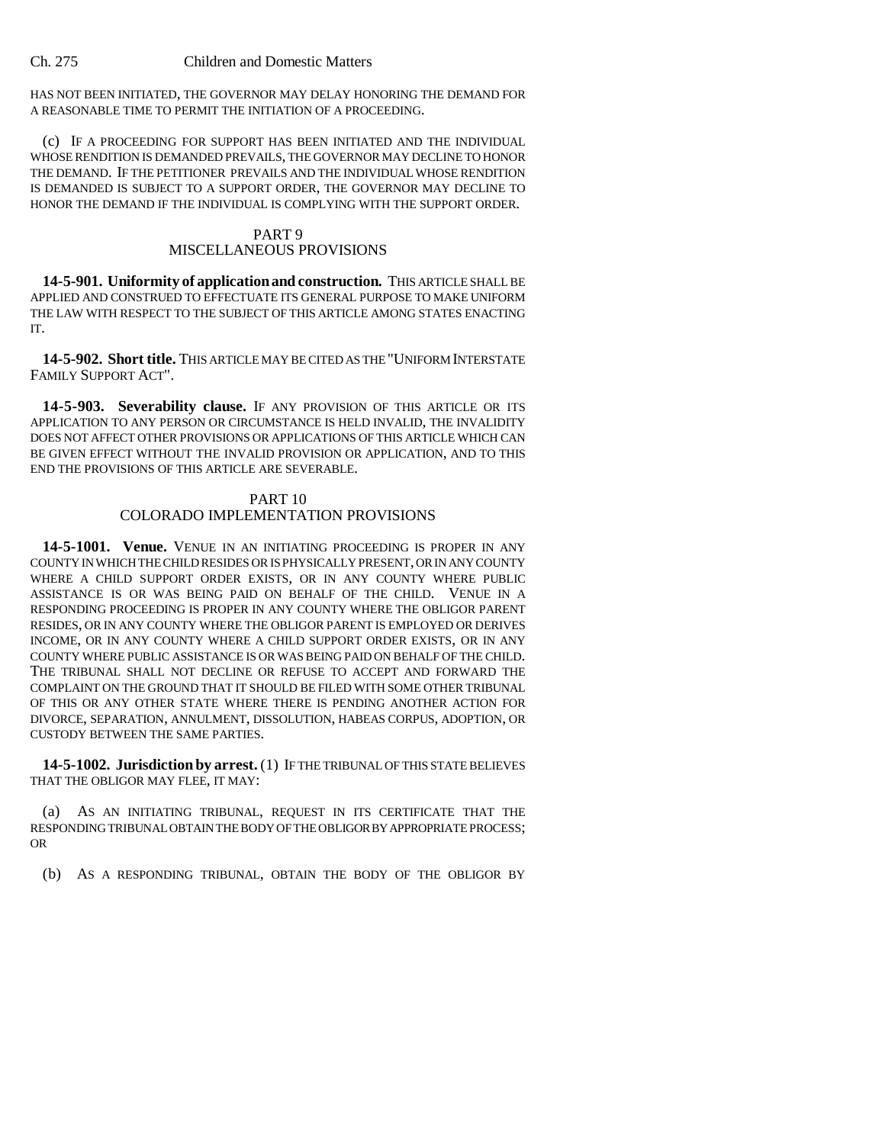HAS NOT BEEN INITIATED, THE GOVERNOR MAY DELAY HONORING THE DEMAND FOR A REASONABLE TIME TO PERMIT THE INITIATION OF A PROCEEDING.

(c) IF A PROCEEDING FOR SUPPORT HAS BEEN INITIATED AND THE INDIVIDUAL WHOSE RENDITION IS DEMANDED PREVAILS, THE GOVERNOR MAY DECLINE TO HONOR THE DEMAND. IF THE PETITIONER PREVAILS AND THE INDIVIDUAL WHOSE RENDITION IS DEMANDED IS SUBJECT TO A SUPPORT ORDER, THE GOVERNOR MAY DECLINE TO HONOR THE DEMAND IF THE INDIVIDUAL IS COMPLYING WITH THE SUPPORT ORDER.

# PART 9 MISCELLANEOUS PROVISIONS

**14-5-901. Uniformity of application and construction.** THIS ARTICLE SHALL BE APPLIED AND CONSTRUED TO EFFECTUATE ITS GENERAL PURPOSE TO MAKE UNIFORM THE LAW WITH RESPECT TO THE SUBJECT OF THIS ARTICLE AMONG STATES ENACTING IT.

**14-5-902. Short title.** THIS ARTICLE MAY BE CITED AS THE "UNIFORM INTERSTATE FAMILY SUPPORT ACT".

**14-5-903. Severability clause.** IF ANY PROVISION OF THIS ARTICLE OR ITS APPLICATION TO ANY PERSON OR CIRCUMSTANCE IS HELD INVALID, THE INVALIDITY DOES NOT AFFECT OTHER PROVISIONS OR APPLICATIONS OF THIS ARTICLE WHICH CAN BE GIVEN EFFECT WITHOUT THE INVALID PROVISION OR APPLICATION, AND TO THIS END THE PROVISIONS OF THIS ARTICLE ARE SEVERABLE.

# PART 10 COLORADO IMPLEMENTATION PROVISIONS

**14-5-1001. Venue.** VENUE IN AN INITIATING PROCEEDING IS PROPER IN ANY COUNTY IN WHICH THE CHILD RESIDES OR IS PHYSICALLY PRESENT, OR IN ANY COUNTY WHERE A CHILD SUPPORT ORDER EXISTS, OR IN ANY COUNTY WHERE PUBLIC ASSISTANCE IS OR WAS BEING PAID ON BEHALF OF THE CHILD. VENUE IN A RESPONDING PROCEEDING IS PROPER IN ANY COUNTY WHERE THE OBLIGOR PARENT RESIDES, OR IN ANY COUNTY WHERE THE OBLIGOR PARENT IS EMPLOYED OR DERIVES INCOME, OR IN ANY COUNTY WHERE A CHILD SUPPORT ORDER EXISTS, OR IN ANY COUNTY WHERE PUBLIC ASSISTANCE IS OR WAS BEING PAID ON BEHALF OF THE CHILD. THE TRIBUNAL SHALL NOT DECLINE OR REFUSE TO ACCEPT AND FORWARD THE COMPLAINT ON THE GROUND THAT IT SHOULD BE FILED WITH SOME OTHER TRIBUNAL OF THIS OR ANY OTHER STATE WHERE THERE IS PENDING ANOTHER ACTION FOR DIVORCE, SEPARATION, ANNULMENT, DISSOLUTION, HABEAS CORPUS, ADOPTION, OR CUSTODY BETWEEN THE SAME PARTIES.

**14-5-1002. Jurisdiction by arrest.** (1) IF THE TRIBUNAL OF THIS STATE BELIEVES THAT THE OBLIGOR MAY FLEE, IT MAY:

AS AN INITIATING TRIBUNAL, REQUEST IN ITS CERTIFICATE THAT THE RESPONDING TRIBUNAL OBTAIN THE BODY OF THE OBLIGOR BY APPROPRIATE PROCESS; OR

(b) AS A RESPONDING TRIBUNAL, OBTAIN THE BODY OF THE OBLIGOR BY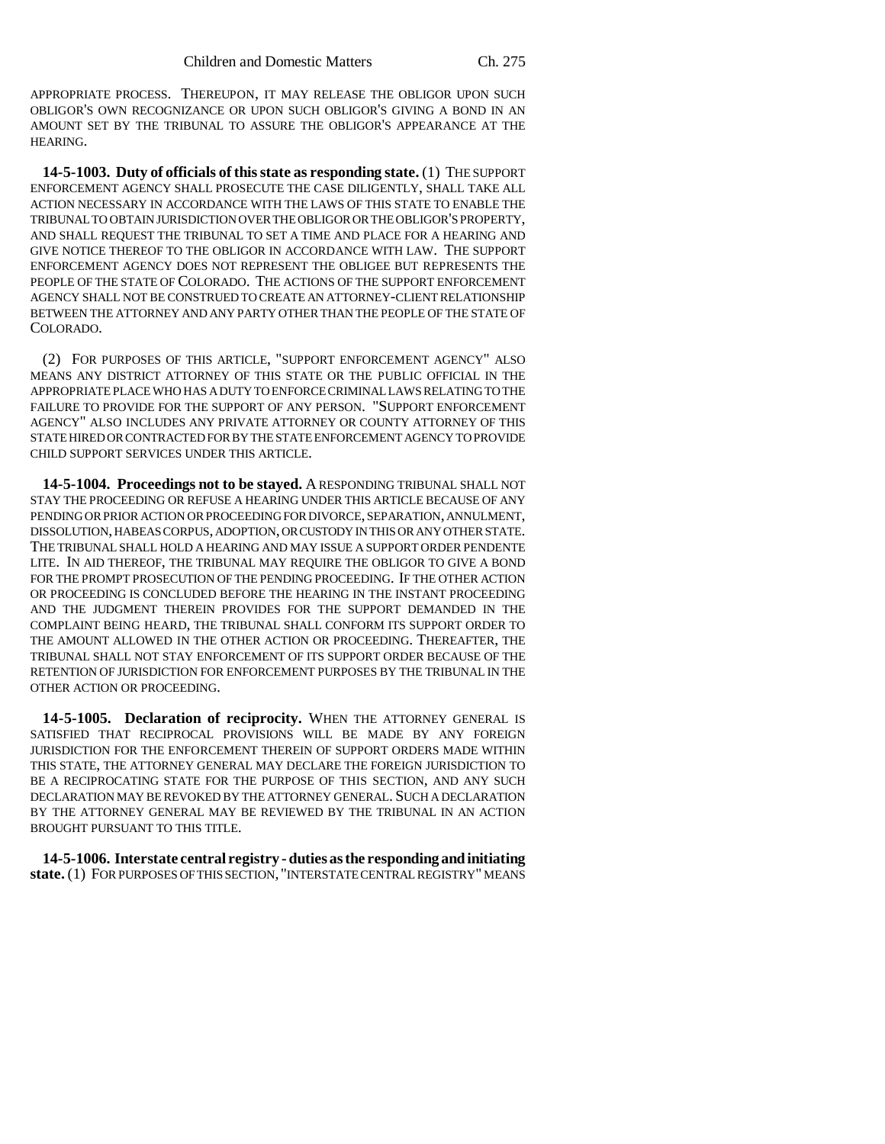APPROPRIATE PROCESS. THEREUPON, IT MAY RELEASE THE OBLIGOR UPON SUCH OBLIGOR'S OWN RECOGNIZANCE OR UPON SUCH OBLIGOR'S GIVING A BOND IN AN AMOUNT SET BY THE TRIBUNAL TO ASSURE THE OBLIGOR'S APPEARANCE AT THE HEARING.

**14-5-1003. Duty of officials of this state as responding state.** (1) THE SUPPORT ENFORCEMENT AGENCY SHALL PROSECUTE THE CASE DILIGENTLY, SHALL TAKE ALL ACTION NECESSARY IN ACCORDANCE WITH THE LAWS OF THIS STATE TO ENABLE THE TRIBUNAL TO OBTAIN JURISDICTION OVER THE OBLIGOR OR THE OBLIGOR'S PROPERTY, AND SHALL REQUEST THE TRIBUNAL TO SET A TIME AND PLACE FOR A HEARING AND GIVE NOTICE THEREOF TO THE OBLIGOR IN ACCORDANCE WITH LAW. THE SUPPORT ENFORCEMENT AGENCY DOES NOT REPRESENT THE OBLIGEE BUT REPRESENTS THE PEOPLE OF THE STATE OF COLORADO. THE ACTIONS OF THE SUPPORT ENFORCEMENT AGENCY SHALL NOT BE CONSTRUED TO CREATE AN ATTORNEY-CLIENT RELATIONSHIP BETWEEN THE ATTORNEY AND ANY PARTY OTHER THAN THE PEOPLE OF THE STATE OF COLORADO.

(2) FOR PURPOSES OF THIS ARTICLE, "SUPPORT ENFORCEMENT AGENCY" ALSO MEANS ANY DISTRICT ATTORNEY OF THIS STATE OR THE PUBLIC OFFICIAL IN THE APPROPRIATE PLACE WHO HAS A DUTY TO ENFORCE CRIMINAL LAWS RELATING TO THE FAILURE TO PROVIDE FOR THE SUPPORT OF ANY PERSON. "SUPPORT ENFORCEMENT AGENCY" ALSO INCLUDES ANY PRIVATE ATTORNEY OR COUNTY ATTORNEY OF THIS STATE HIRED OR CONTRACTED FOR BY THE STATE ENFORCEMENT AGENCY TO PROVIDE CHILD SUPPORT SERVICES UNDER THIS ARTICLE.

**14-5-1004. Proceedings not to be stayed.** A RESPONDING TRIBUNAL SHALL NOT STAY THE PROCEEDING OR REFUSE A HEARING UNDER THIS ARTICLE BECAUSE OF ANY PENDING OR PRIOR ACTION OR PROCEEDING FOR DIVORCE, SEPARATION, ANNULMENT, DISSOLUTION, HABEAS CORPUS, ADOPTION, OR CUSTODY IN THIS OR ANY OTHER STATE. THE TRIBUNAL SHALL HOLD A HEARING AND MAY ISSUE A SUPPORT ORDER PENDENTE LITE. IN AID THEREOF, THE TRIBUNAL MAY REQUIRE THE OBLIGOR TO GIVE A BOND FOR THE PROMPT PROSECUTION OF THE PENDING PROCEEDING. IF THE OTHER ACTION OR PROCEEDING IS CONCLUDED BEFORE THE HEARING IN THE INSTANT PROCEEDING AND THE JUDGMENT THEREIN PROVIDES FOR THE SUPPORT DEMANDED IN THE COMPLAINT BEING HEARD, THE TRIBUNAL SHALL CONFORM ITS SUPPORT ORDER TO THE AMOUNT ALLOWED IN THE OTHER ACTION OR PROCEEDING. THEREAFTER, THE TRIBUNAL SHALL NOT STAY ENFORCEMENT OF ITS SUPPORT ORDER BECAUSE OF THE RETENTION OF JURISDICTION FOR ENFORCEMENT PURPOSES BY THE TRIBUNAL IN THE OTHER ACTION OR PROCEEDING.

**14-5-1005. Declaration of reciprocity.** WHEN THE ATTORNEY GENERAL IS SATISFIED THAT RECIPROCAL PROVISIONS WILL BE MADE BY ANY FOREIGN JURISDICTION FOR THE ENFORCEMENT THEREIN OF SUPPORT ORDERS MADE WITHIN THIS STATE, THE ATTORNEY GENERAL MAY DECLARE THE FOREIGN JURISDICTION TO BE A RECIPROCATING STATE FOR THE PURPOSE OF THIS SECTION, AND ANY SUCH DECLARATION MAY BE REVOKED BY THE ATTORNEY GENERAL. SUCH A DECLARATION BY THE ATTORNEY GENERAL MAY BE REVIEWED BY THE TRIBUNAL IN AN ACTION BROUGHT PURSUANT TO THIS TITLE.

**14-5-1006. Interstate central registry - duties as the responding and initiating state.** (1) FOR PURPOSES OF THIS SECTION, "INTERSTATE CENTRAL REGISTRY" MEANS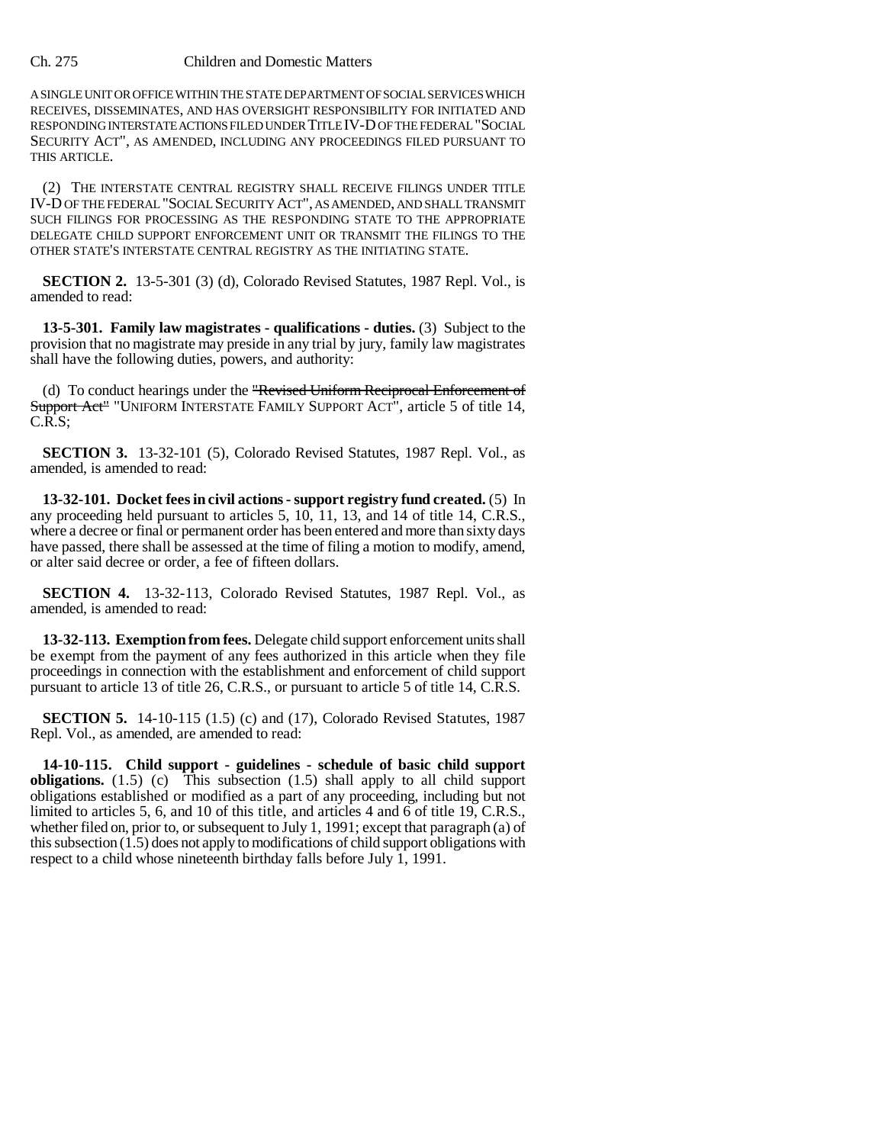A SINGLE UNIT OR OFFICE WITHIN THE STATE DEPARTMENT OF SOCIAL SERVICES WHICH RECEIVES, DISSEMINATES, AND HAS OVERSIGHT RESPONSIBILITY FOR INITIATED AND RESPONDING INTERSTATE ACTIONS FILED UNDER TITLE IV-D OF THE FEDERAL "SOCIAL SECURITY ACT", AS AMENDED, INCLUDING ANY PROCEEDINGS FILED PURSUANT TO THIS ARTICLE.

(2) THE INTERSTATE CENTRAL REGISTRY SHALL RECEIVE FILINGS UNDER TITLE IV-D OF THE FEDERAL "SOCIAL SECURITY ACT", AS AMENDED, AND SHALL TRANSMIT SUCH FILINGS FOR PROCESSING AS THE RESPONDING STATE TO THE APPROPRIATE DELEGATE CHILD SUPPORT ENFORCEMENT UNIT OR TRANSMIT THE FILINGS TO THE OTHER STATE'S INTERSTATE CENTRAL REGISTRY AS THE INITIATING STATE.

**SECTION 2.** 13-5-301 (3) (d), Colorado Revised Statutes, 1987 Repl. Vol., is amended to read:

**13-5-301. Family law magistrates - qualifications - duties.** (3) Subject to the provision that no magistrate may preside in any trial by jury, family law magistrates shall have the following duties, powers, and authority:

(d) To conduct hearings under the "Revised Uniform Reciprocal Enforcement of Support Act" "UNIFORM INTERSTATE FAMILY SUPPORT ACT", article 5 of title 14, C.R.S;

**SECTION 3.** 13-32-101 (5), Colorado Revised Statutes, 1987 Repl. Vol., as amended, is amended to read:

**13-32-101. Docket fees in civil actions - support registry fund created.** (5) In any proceeding held pursuant to articles 5, 10, 11, 13, and 14 of title 14, C.R.S., where a decree or final or permanent order has been entered and more than sixty days have passed, there shall be assessed at the time of filing a motion to modify, amend, or alter said decree or order, a fee of fifteen dollars.

**SECTION 4.** 13-32-113, Colorado Revised Statutes, 1987 Repl. Vol., as amended, is amended to read:

**13-32-113. Exemption from fees.** Delegate child support enforcement units shall be exempt from the payment of any fees authorized in this article when they file proceedings in connection with the establishment and enforcement of child support pursuant to article 13 of title 26, C.R.S., or pursuant to article 5 of title 14, C.R.S.

**SECTION 5.** 14-10-115 (1.5) (c) and (17), Colorado Revised Statutes, 1987 Repl. Vol., as amended, are amended to read:

**14-10-115. Child support - guidelines - schedule of basic child support obligations.** (1.5) (c) This subsection (1.5) shall apply to all child support obligations established or modified as a part of any proceeding, including but not limited to articles 5, 6, and 10 of this title, and articles 4 and 6 of title 19, C.R.S., whether filed on, prior to, or subsequent to July 1, 1991; except that paragraph (a) of this subsection (1.5) does not apply to modifications of child support obligations with respect to a child whose nineteenth birthday falls before July 1, 1991.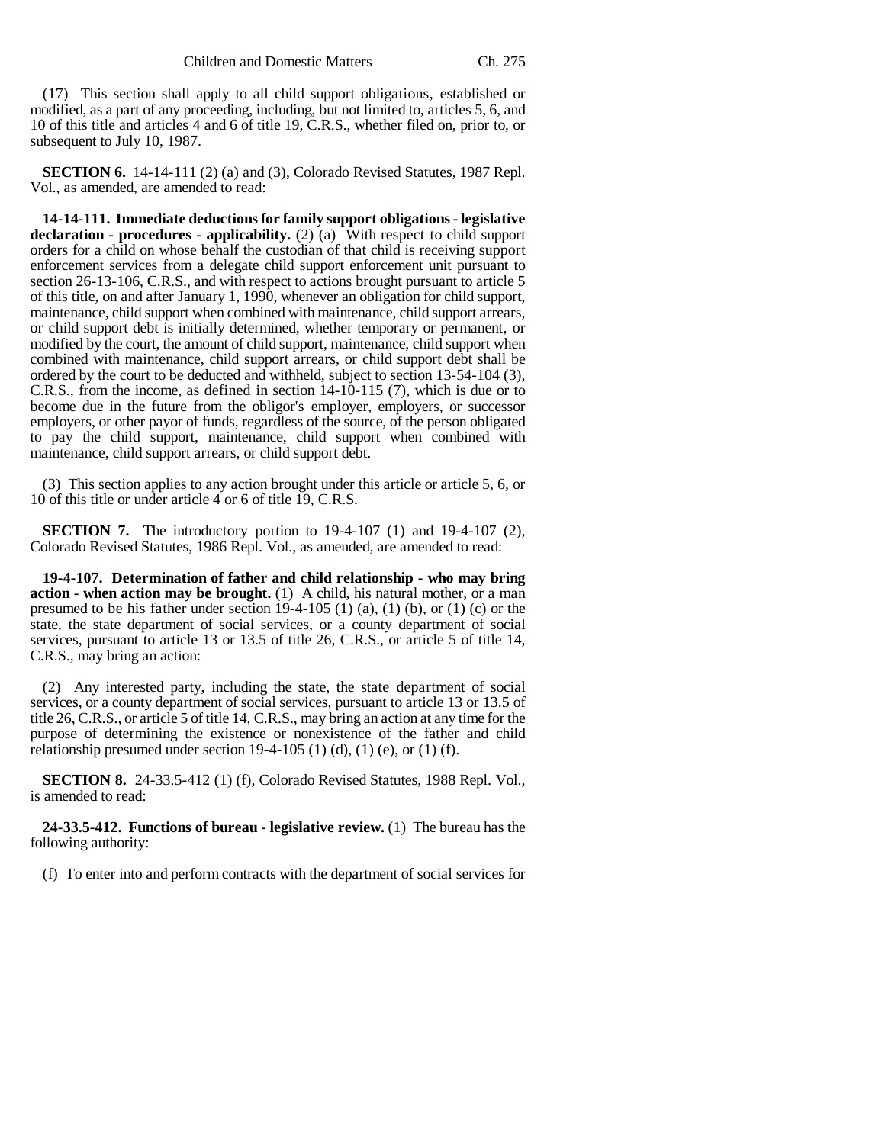(17) This section shall apply to all child support obligations, established or modified, as a part of any proceeding, including, but not limited to, articles 5, 6, and 10 of this title and articles 4 and 6 of title 19, C.R.S., whether filed on, prior to, or subsequent to July 10, 1987.

**SECTION 6.** 14-14-111 (2) (a) and (3), Colorado Revised Statutes, 1987 Repl. Vol., as amended, are amended to read:

**14-14-111. Immediate deductions for family support obligations - legislative declaration - procedures - applicability.** (2) (a) With respect to child support orders for a child on whose behalf the custodian of that child is receiving support enforcement services from a delegate child support enforcement unit pursuant to section 26-13-106, C.R.S., and with respect to actions brought pursuant to article 5 of this title, on and after January 1, 1990, whenever an obligation for child support, maintenance, child support when combined with maintenance, child support arrears, or child support debt is initially determined, whether temporary or permanent, or modified by the court, the amount of child support, maintenance, child support when combined with maintenance, child support arrears, or child support debt shall be ordered by the court to be deducted and withheld, subject to section 13-54-104 (3), C.R.S., from the income, as defined in section 14-10-115 (7), which is due or to become due in the future from the obligor's employer, employers, or successor employers, or other payor of funds, regardless of the source, of the person obligated to pay the child support, maintenance, child support when combined with maintenance, child support arrears, or child support debt.

(3) This section applies to any action brought under this article or article 5, 6, or 10 of this title or under article 4 or 6 of title 19, C.R.S.

**SECTION 7.** The introductory portion to 19-4-107 (1) and 19-4-107 (2), Colorado Revised Statutes, 1986 Repl. Vol., as amended, are amended to read:

**19-4-107. Determination of father and child relationship - who may bring action - when action may be brought.** (1) A child, his natural mother, or a man presumed to be his father under section  $19-4-105$  (1) (a), (1) (b), or (1) (c) or the state, the state department of social services, or a county department of social services, pursuant to article 13 or 13.5 of title 26, C.R.S., or article 5 of title 14, C.R.S., may bring an action:

(2) Any interested party, including the state, the state department of social services, or a county department of social services, pursuant to article 13 or 13.5 of title 26, C.R.S., or article 5 of title 14, C.R.S., may bring an action at any time for the purpose of determining the existence or nonexistence of the father and child relationship presumed under section 19-4-105 (1) (d), (1) (e), or (1) (f).

**SECTION 8.** 24-33.5-412 (1) (f), Colorado Revised Statutes, 1988 Repl. Vol., is amended to read:

**24-33.5-412. Functions of bureau - legislative review.** (1) The bureau has the following authority:

(f) To enter into and perform contracts with the department of social services for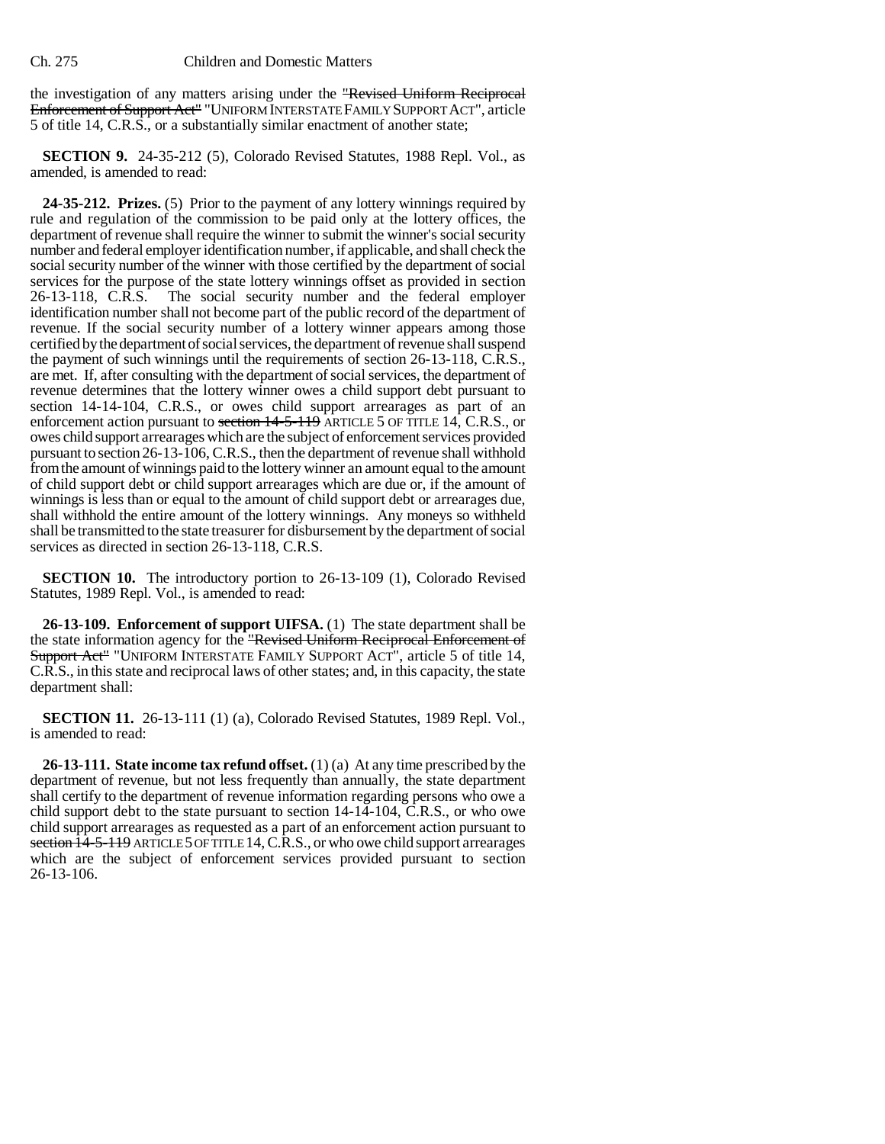the investigation of any matters arising under the "Revised Uniform Reciprocal Enforcement of Support Act" "UNIFORM INTERSTATE FAMILY SUPPORT ACT", article 5 of title 14, C.R.S., or a substantially similar enactment of another state;

**SECTION 9.** 24-35-212 (5), Colorado Revised Statutes, 1988 Repl. Vol., as amended, is amended to read:

**24-35-212. Prizes.** (5) Prior to the payment of any lottery winnings required by rule and regulation of the commission to be paid only at the lottery offices, the department of revenue shall require the winner to submit the winner's social security number and federal employer identification number, if applicable, and shall check the social security number of the winner with those certified by the department of social services for the purpose of the state lottery winnings offset as provided in section 26-13-118, C.R.S. The social security number and the federal employer identification number shall not become part of the public record of the department of revenue. If the social security number of a lottery winner appears among those certified by the department of social services, the department of revenue shall suspend the payment of such winnings until the requirements of section 26-13-118, C.R.S., are met. If, after consulting with the department of social services, the department of revenue determines that the lottery winner owes a child support debt pursuant to section 14-14-104, C.R.S., or owes child support arrearages as part of an enforcement action pursuant to section 14-5-119 ARTICLE 5 OF TITLE 14, C.R.S., or owes child support arrearages which are the subject of enforcement services provided pursuant to section 26-13-106, C.R.S., then the department of revenue shall withhold from the amount of winnings paid to the lottery winner an amount equal to the amount of child support debt or child support arrearages which are due or, if the amount of winnings is less than or equal to the amount of child support debt or arrearages due, shall withhold the entire amount of the lottery winnings. Any moneys so withheld shall be transmitted to the state treasurer for disbursement by the department of social services as directed in section 26-13-118, C.R.S.

**SECTION 10.** The introductory portion to 26-13-109 (1), Colorado Revised Statutes, 1989 Repl. Vol., is amended to read:

**26-13-109. Enforcement of support UIFSA.** (1) The state department shall be the state information agency for the "Revised Uniform Reciprocal Enforcement of Support Act" "UNIFORM INTERSTATE FAMILY SUPPORT ACT", article 5 of title 14, C.R.S., in this state and reciprocal laws of other states; and, in this capacity, the state department shall:

**SECTION 11.** 26-13-111 (1) (a), Colorado Revised Statutes, 1989 Repl. Vol., is amended to read:

**26-13-111. State income tax refund offset.** (1) (a) At any time prescribed by the department of revenue, but not less frequently than annually, the state department shall certify to the department of revenue information regarding persons who owe a child support debt to the state pursuant to section 14-14-104, C.R.S., or who owe child support arrearages as requested as a part of an enforcement action pursuant to section  $14-5-119$  ARTICLE 5 OF TITLE 14, C.R.S., or who owe child support arrearages which are the subject of enforcement services provided pursuant to section 26-13-106.